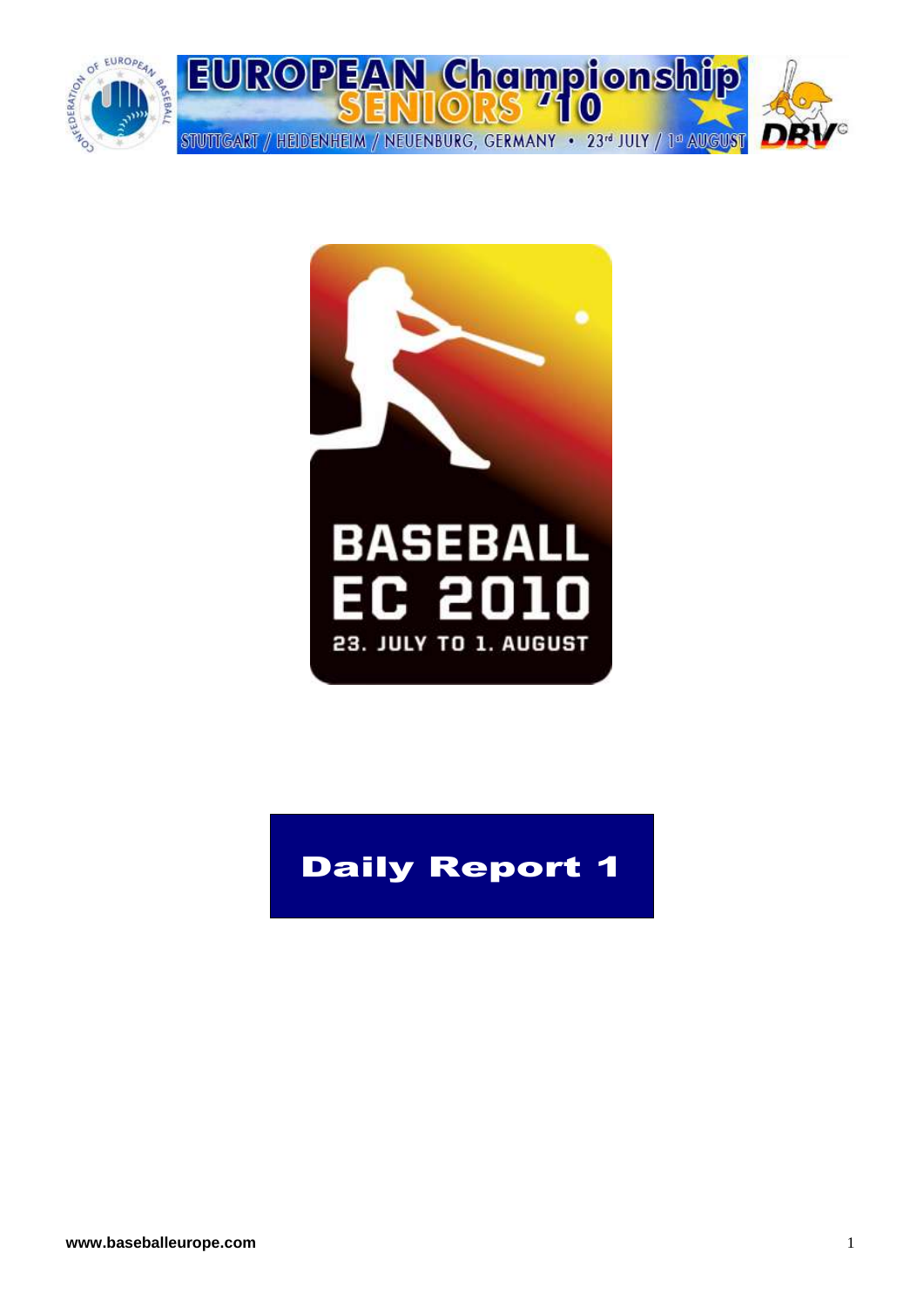



# Daily Report 1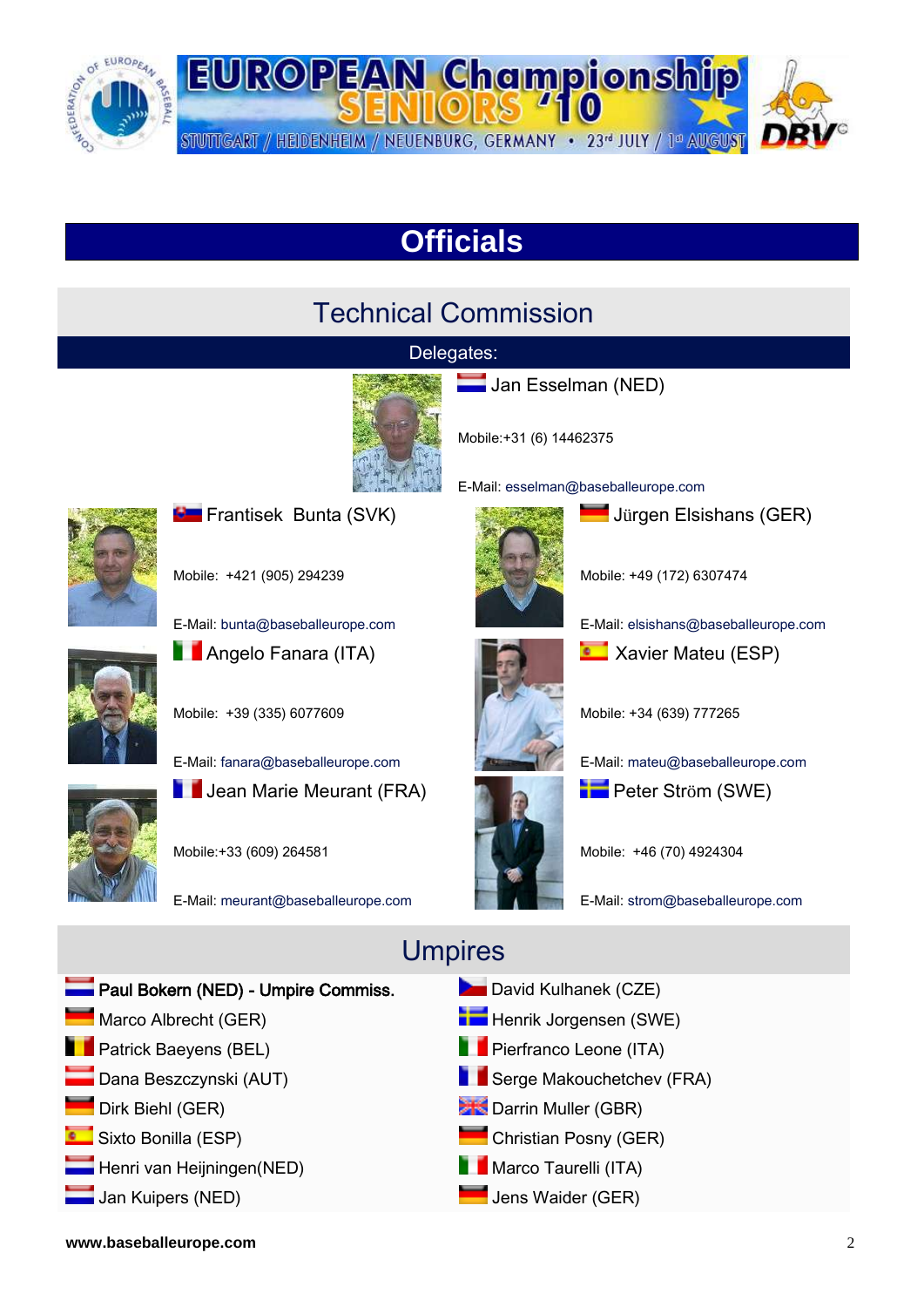

## **Officials**

#### Technical Commission

#### Delegates:



Jan Esselman (NED)

Mobile:+31 (6) 14462375

E-Mail: [esselman@baseballeurope.com](mailto:esselman@baseballeurope.com)



**Frantisek Bunta (SVK)** 

Mobile: +421 (905) 294239

E-Mail: [bunta@baseballeurope.com](mailto:bunta@baseballeurope.com)



**Angelo Fanara (ITA)** 

Mobile: +39 (335) 6077609

E-Mail: [fanara@baseballeurope.com](mailto:fanara@baseballeurope.com)

**Julie** Jean Marie Meurant (FRA)



Mobile:+33 (609) 264581

E-Mail: [meurant@baseballeurope.com](mailto:meurant@baseballeurope.com)



Mobile: +49 (172) 6307474

**Jürgen Elsishans (GER)** 

E-Mail[: elsishans@baseballeurope.com](mailto:elsishans@baseballeurope.com)



**Xavier Mateu (ESP)** 

Mobile: +34 (639) 777265

E-Mail[: mateu@baseballeurope.com](mailto:mateu@baseballeurope.com) **Peter Ström (SWE)** 

Mobile: +46 (70) 4924304

E-Mail[: strom@baseballeurope.com](mailto:strom@baseballeurope.com)



#### Umpires

**www.baseballeurope.com** 2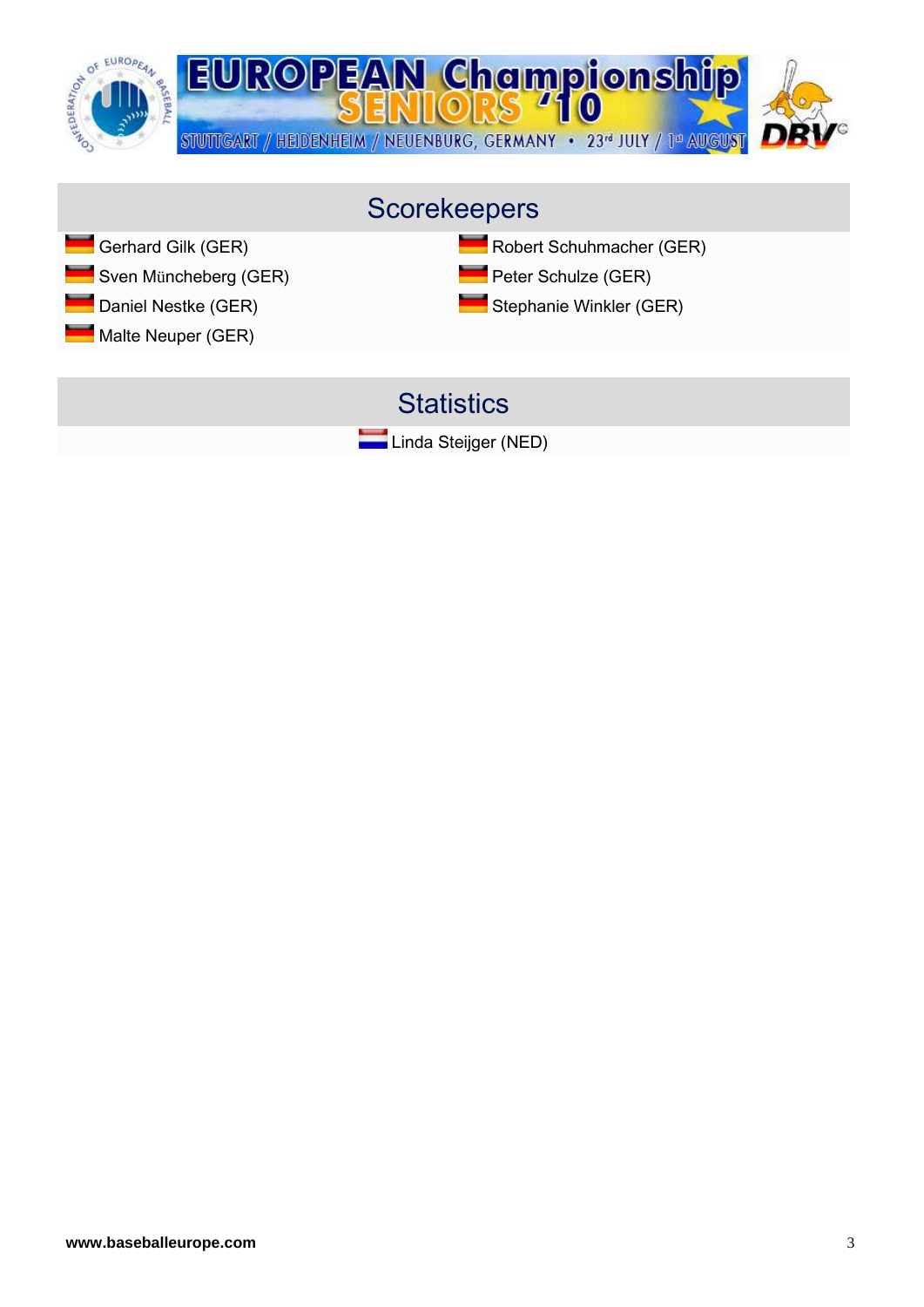

#### Scorekeepers

- 
- Sven Müncheberg (GER) Peter Schulze (GER)
- 
- Malte Neuper (GER)

#### Gerhard Gilk (GER) **Robert Schuhmacher (GER)** Robert Schuhmacher (GER)

- 
- Daniel Nestke (GER) Stephanie Winkler (GER)

#### **Statistics**

Linda Steijger (NED)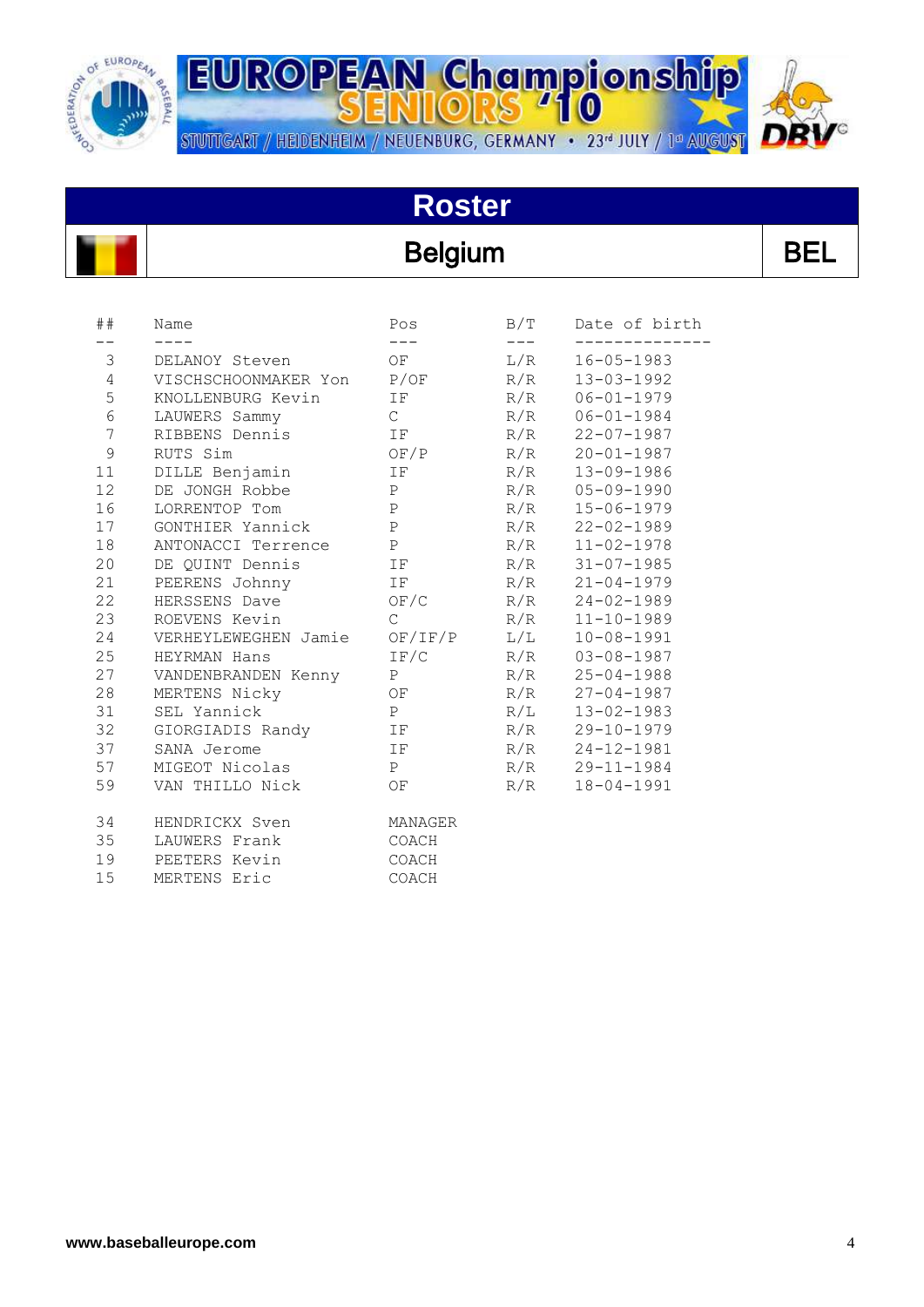

STUTTGART / HEIDENHEIM / NEUENBURG, GERMANY • 23<sup>d</sup> JULY / 1<sup>d</sup> AUGUST



# **Roster**

#### **Belgium**

| ۰. |
|----|
|----|

| ##             | Name                 | Pos           | B/T | Date of birth    |
|----------------|----------------------|---------------|-----|------------------|
| 3              | DELANOY Steven       | OF            | L/R | $16 - 05 - 1983$ |
| $\overline{4}$ | VISCHSCHOONMAKER Yon | P/OF          | R/R | $13 - 03 - 1992$ |
| 5              | KNOLLENBURG Kevin    | ΙF            | R/R | $06 - 01 - 1979$ |
| $\epsilon$     | LAUWERS Sammy        | $\mathcal{C}$ | R/R | $06 - 01 - 1984$ |
| $7\phantom{.}$ | RIBBENS Dennis       | IF            | R/R | $22 - 07 - 1987$ |
| $\mathcal{G}$  | RUTS Sim             | OF/P          | R/R | $20 - 01 - 1987$ |
| 11             | DILLE Benjamin       | IF            | R/R | $13 - 09 - 1986$ |
| 12             | DE JONGH Robbe       | $\mathbf{P}$  | R/R | $05 - 09 - 1990$ |
| 16             | LORRENTOP Tom        | $\mathbf P$   | R/R | $15 - 06 - 1979$ |
| 17             | GONTHIER Yannick     | $\mathsf{P}$  | R/R | $22 - 02 - 1989$ |
| 18             | ANTONACCI Terrence   | $\mathbf{P}$  | R/R | $11 - 02 - 1978$ |
| 20             | DE QUINT Dennis      | IF            | R/R | $31 - 07 - 1985$ |
| 21             | PEERENS Johnny       | IF            | R/R | $21 - 04 - 1979$ |
| 22             | HERSSENS Dave        | OF/C          | R/R | $24 - 02 - 1989$ |
| 23             | ROEVENS Kevin        | $\mathcal{C}$ | R/R | $11 - 10 - 1989$ |
| 24             | VERHEYLEWEGHEN Jamie | OF/IF/P       | L/L | $10 - 08 - 1991$ |
| 25             | HEYRMAN Hans         | IF/C          | R/R | $03 - 08 - 1987$ |
| 27             | VANDENBRANDEN Kenny  | P             | R/R | $25 - 04 - 1988$ |
| 28             | MERTENS Nicky        | OF            | R/R | $27 - 04 - 1987$ |
| 31             | SEL Yannick          | P             | R/L | $13 - 02 - 1983$ |
| 32             | GIORGIADIS Randy     | IF            | R/R | $29 - 10 - 1979$ |
| 37             | SANA Jerome          | IF            | R/R | $24 - 12 - 1981$ |
| 57             | MIGEOT Nicolas       | P             | R/R | $29 - 11 - 1984$ |
| 59             | VAN THILLO Nick      | OF            | R/R | $18 - 04 - 1991$ |
| 34             | HENDRICKX Sven       | MANAGER       |     |                  |
| 35             | LAUWERS Frank        | COACH         |     |                  |
| 19             | PEETERS Kevin        | COACH         |     |                  |
| 15             | MERTENS Eric         | COACH         |     |                  |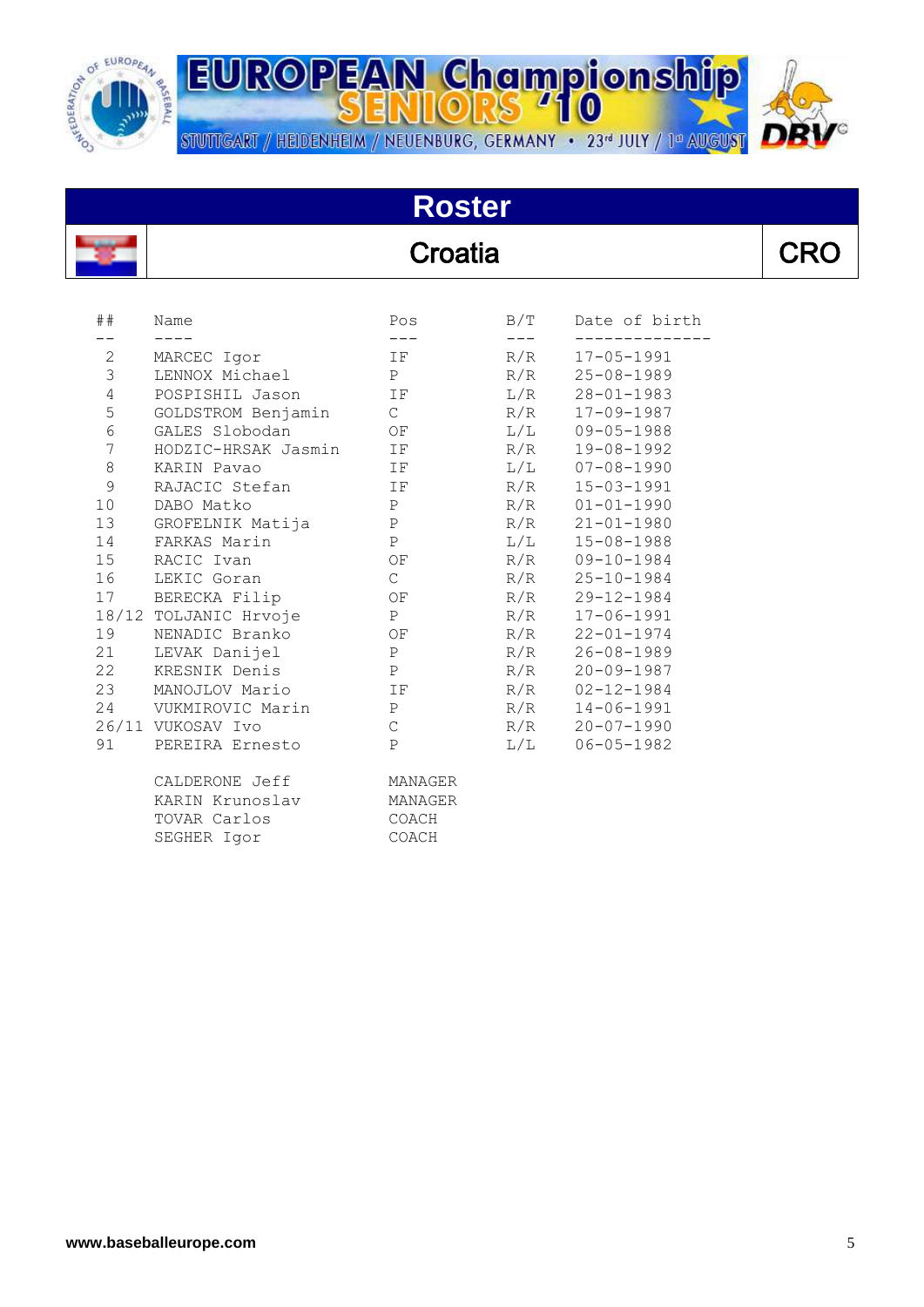

**EUROPEAN Championship** STUTTGART / HEIDENHEIM / NEUENBURG, GERMANY • 23<sup>d</sup> JULY / 1<sup>d</sup> AUGUST



# **Roster**

## Croatia

| ÷.<br>┑<br>,,<br>7<br>◢. |
|--------------------------|
|--------------------------|

| ##               | Name<br>$\frac{1}{2}$   | Pos<br>$\frac{1}{2}$            | $\frac{1}{2}$ | B/T Date of birth |
|------------------|-------------------------|---------------------------------|---------------|-------------------|
| $2 \overline{ }$ | MARCEC Igor             | IF                              | R/R           | $17 - 05 - 1991$  |
| 3 <sup>7</sup>   | LENNOX Michael          | P                               | R/R           | 25-08-1989        |
| $\overline{4}$   | POSPISHIL Jason IF      |                                 | L/R           | $28 - 01 - 1983$  |
| 5                | GOLDSTROM Benjamin C    |                                 | R/R           | 17-09-1987        |
| 6                | GALES Slobodan          | OF                              | L/L           | $09 - 05 - 1988$  |
| $7\overline{ }$  | HODZIC-HRSAK Jasmin IF  |                                 | R/R           | 19-08-1992        |
| 8                | KARIN Pavao             | $\Gamma$ $\Gamma$               |               | $L/L$ 07-08-1990  |
| 9                | RAJACIC Stefan          | $\mathbb{I} \, \mathbf{F}$      | R/R           | $15 - 03 - 1991$  |
| 10               | DABO Matko              | $\mathbb P$                     | R/R           | $01 - 01 - 1990$  |
|                  | 13 GROFELNIK Matija     | P                               | R/R           | $21 - 01 - 1980$  |
|                  | 14 FARKAS Marin         | P                               |               | $L/L$ 15-08-1988  |
|                  | 15 RACIC Ivan           | OF                              |               | R/R 09-10-1984    |
| 16               | LEKIC Goran             | $\mathbb{C}$                    | R/R           | $25 - 10 - 1984$  |
|                  | 17 BERECKA Filip        | OF                              | R/R           | 29-12-1984        |
|                  | 18/12 TOLJANIC Hrvoje P |                                 |               | R/R 17-06-1991    |
|                  | 19 NENADIC Branko       | OF                              | R/R           | $22 - 01 - 1974$  |
| 21               | LEVAK Danijel           | $\mathbb P$                     | R/R           | $26 - 08 - 1989$  |
|                  | 22 KRESNIK Denis        | P                               | R/R           | $20 - 09 - 1987$  |
|                  | 23 MANOJLOV Mario       | $\Gamma$ is the set of $\Gamma$ |               | R/R 02-12-1984    |
|                  | 24 VUKMIROVIC Marin     | P                               | R/R           | $14 - 06 - 1991$  |
|                  | 26/11 VUKOSAV Ivo       | $\mathsf C$                     | R/R           | $20 - 07 - 1990$  |
|                  | 91 PEREIRA Ernesto      | P                               | L/L           | $06 - 05 - 1982$  |
|                  | CALDERONE Jeff          | MANAGER                         |               |                   |
|                  | KARIN Krunoslav         | MANAGER                         |               |                   |
|                  | TOVAR Carlos            | COACH                           |               |                   |
|                  | SEGHER Igor             | COACH                           |               |                   |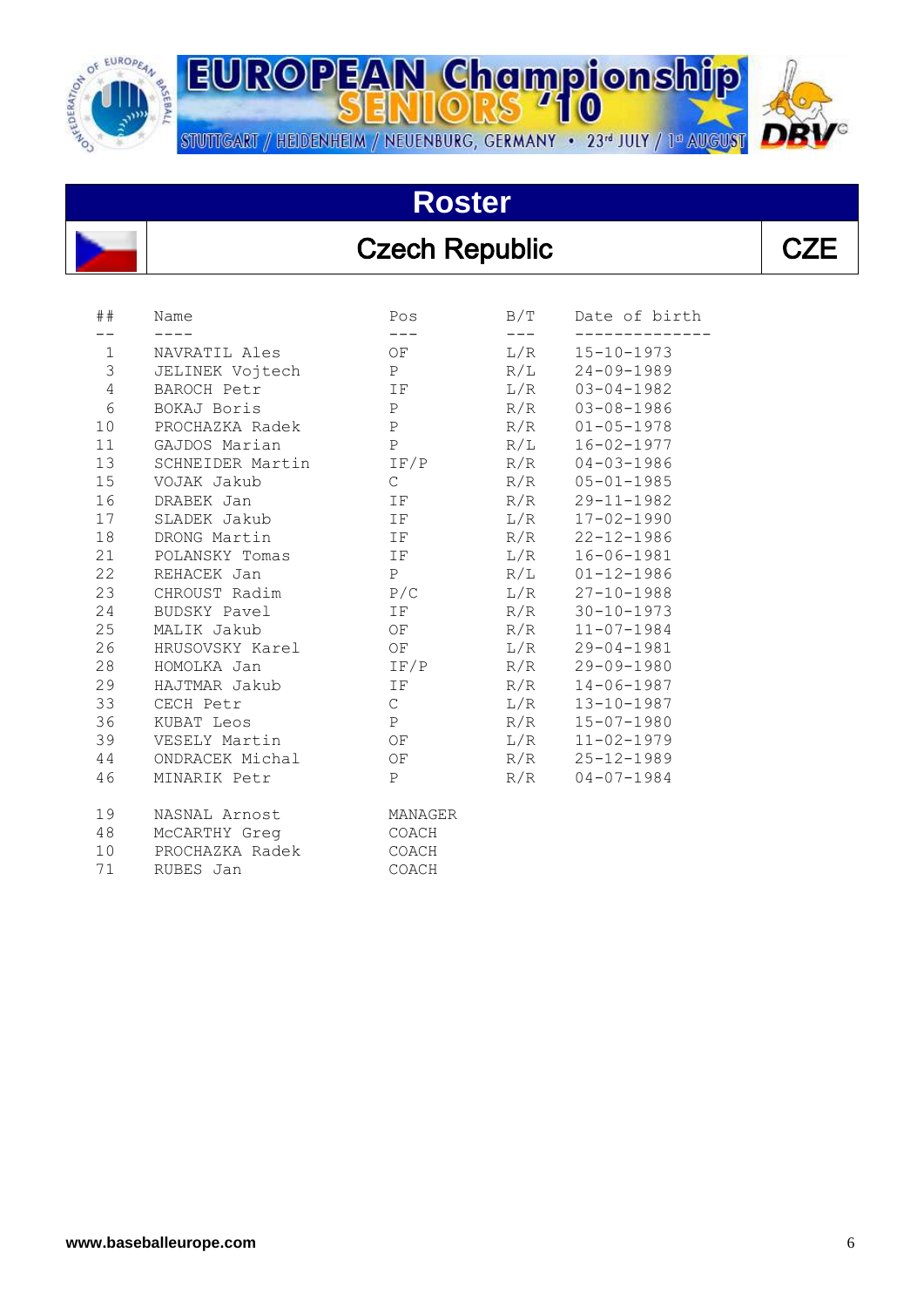

STUTTGART / HEIDENHEIM / NEUENBURG, GERMANY • 23<sup>d</sup> JULY / 1<sup>d</sup> AUGUST

## **Roster**

**EUROPEAN Championship** 

#### Czech Republic **CZE**

| ##                             | Name             | Pos                | B/T | Date of birth                        |
|--------------------------------|------------------|--------------------|-----|--------------------------------------|
|                                |                  |                    |     |                                      |
| $\mathbf{1}$<br>$\mathfrak{Z}$ | NAVRATIL Ales    | OF<br>$\mathbf{P}$ | L/R | $15 - 10 - 1973$<br>$24 - 09 - 1989$ |
|                                | JELINEK Vojtech  |                    | R/L |                                      |
| 4                              | BAROCH Petr      | IF                 | L/R | $03 - 04 - 1982$                     |
| 6                              | BOKAJ Boris      | $\mathbf{P}$       | R/R | $03 - 08 - 1986$                     |
| 10 <sup>°</sup>                | PROCHAZKA Radek  | $\mathbf{P}$       | R/R | $01 - 05 - 1978$                     |
| 11                             | GAJDOS Marian    | $\mathsf{P}$       | R/L | $16 - 02 - 1977$                     |
| 13                             | SCHNEIDER Martin | IF/P               | R/R | $04 - 03 - 1986$                     |
| 15                             | VOJAK Jakub      | $\mathsf{C}$       | R/R | $05 - 01 - 1985$                     |
| 16                             | DRABEK Jan       | IF                 | R/R | $29 - 11 - 1982$                     |
| 17                             | SLADEK Jakub     | IF                 | L/R | $17 - 02 - 1990$                     |
| 18                             | DRONG Martin     | IF                 | R/R | $22 - 12 - 1986$                     |
| 21                             | POLANSKY Tomas   | IF                 | L/R | $16 - 06 - 1981$                     |
| 22                             | REHACEK Jan      | P                  | R/L | $01 - 12 - 1986$                     |
| 23                             | CHROUST Radim    | P/C                | L/R | $27 - 10 - 1988$                     |
| 24                             | BUDSKY Pavel     | IF                 | R/R | $30 - 10 - 1973$                     |
| 25                             | MALIK Jakub      | OF                 | R/R | $11 - 07 - 1984$                     |
| 26                             | HRUSOVSKY Karel  | OF                 | L/R | $29 - 04 - 1981$                     |
| 28                             | HOMOLKA Jan      | IF/P               | R/R | $29 - 09 - 1980$                     |
| 29                             | HAJTMAR Jakub    | IF.                | R/R | $14 - 06 - 1987$                     |
| 33                             | CECH Petr        | $\mathsf C$        | L/R | $13 - 10 - 1987$                     |
| 36                             | KUBAT Leos       | P                  | R/R | $15 - 07 - 1980$                     |
| 39                             | VESELY Martin    | OF                 | L/R | $11 - 02 - 1979$                     |
| 44                             | ONDRACEK Michal  | OF                 | R/R | $25 - 12 - 1989$                     |
| 46                             | MINARIK Petr     | $\mathbf{P}$       | R/R | $04 - 07 - 1984$                     |
|                                |                  |                    |     |                                      |
| 19                             | NASNAL Arnost    | MANAGER            |     |                                      |
| 48                             | McCARTHY Greq    | COACH              |     |                                      |
| 10                             | PROCHAZKA Radek  | COACH              |     |                                      |
| 71                             | RUBES Jan        | COACH              |     |                                      |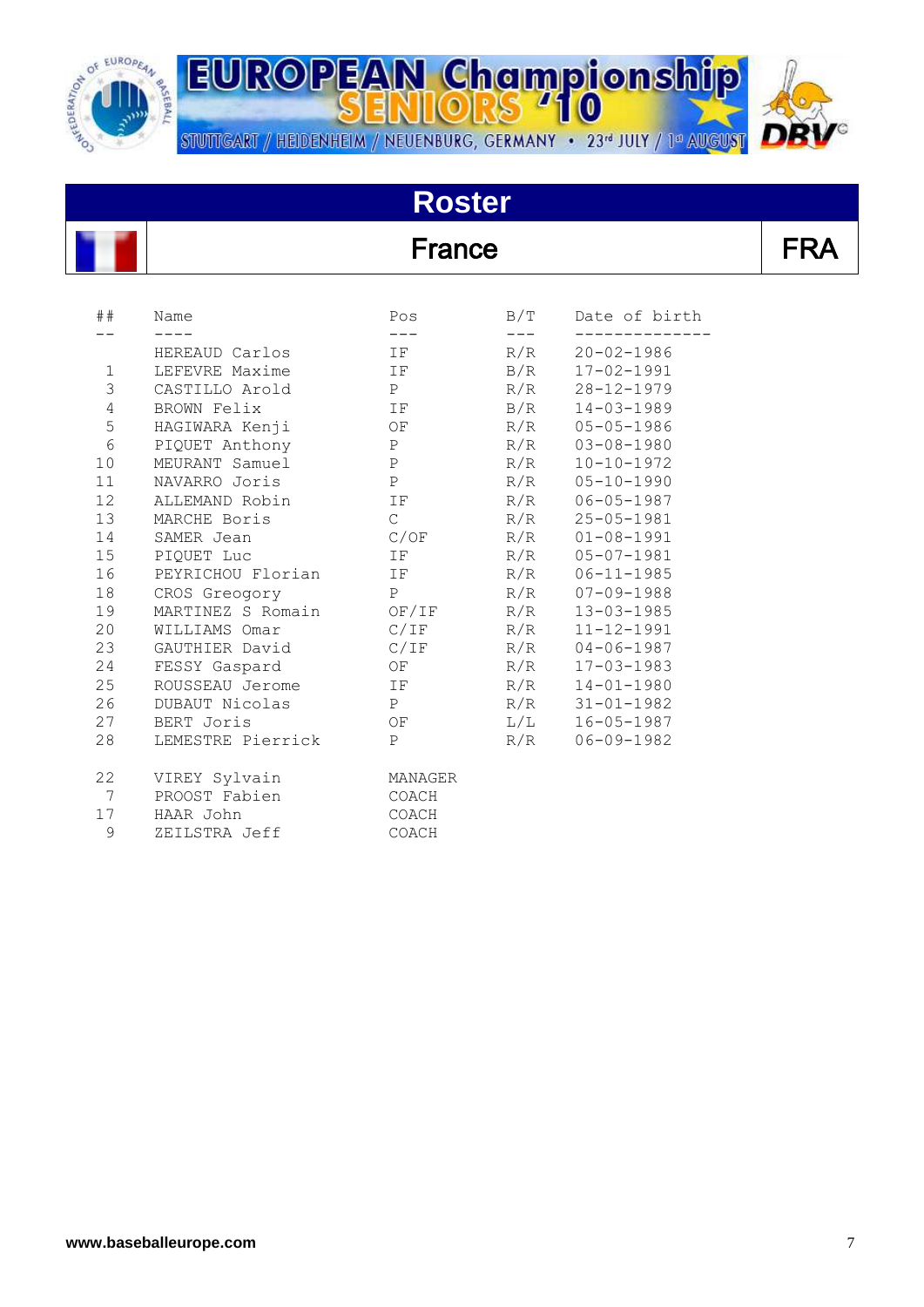

**EUROPEAN Championship** STUTTGART / HEIDENHEIM / NEUENBURG, GERMANY · 23<sup>d</sup> JULY / 1<sup>d</sup> AUGUST



# **Roster**

#### **France**

|--|

| ##              | Name              | Pos<br>$---$  | B/T | Date of birth    |
|-----------------|-------------------|---------------|-----|------------------|
|                 | HEREAUD Carlos    | IF            | R/R | $20 - 02 - 1986$ |
| $\mathbf 1$     | LEFEVRE Maxime    | IF            | B/R | $17 - 02 - 1991$ |
| 3               | CASTILLO Arold    | P             | R/R | $28 - 12 - 1979$ |
| $\overline{4}$  | BROWN Felix       | IF            | B/R | $14 - 03 - 1989$ |
| 5               | HAGIWARA Kenji    | OF            | R/R | $05 - 05 - 1986$ |
| $6\,$           | PIQUET Anthony    | P             | R/R | $03 - 08 - 1980$ |
| 10 <sub>o</sub> | MEURANT Samuel    | P             | R/R | $10 - 10 - 1972$ |
| 11              | NAVARRO Joris     | $\mathbf{P}$  | R/R | $05 - 10 - 1990$ |
| 12              | ALLEMAND Robin    | IF            | R/R | $06 - 05 - 1987$ |
| 13              | MARCHE Boris      | $\mathcal{C}$ | R/R | $25 - 05 - 1981$ |
| 14              | SAMER Jean        | C/OF          | R/R | $01 - 08 - 1991$ |
| 15              | PIOUET Luc        | IF            | R/R | $05 - 07 - 1981$ |
| 16              | PEYRICHOU Florian | IF            | R/R | $06 - 11 - 1985$ |
| 18              | CROS Greogory     | P             | R/R | $07 - 09 - 1988$ |
| 19              | MARTINEZ S Romain | OF/IF         | R/R | $13 - 03 - 1985$ |
| 20              | WILLIAMS Omar     | C/IF          | R/R | $11 - 12 - 1991$ |
| 23              | GAUTHIER David    | C/IF          | R/R | $04 - 06 - 1987$ |
| 24              | FESSY Gaspard     | OF            | R/R | $17 - 03 - 1983$ |
| 25              | ROUSSEAU Jerome   | IF            | R/R | $14 - 01 - 1980$ |
| 26              | DUBAUT Nicolas    | P             | R/R | $31 - 01 - 1982$ |
| 27              | BERT Joris        | OF            | L/L | $16 - 05 - 1987$ |
| 28              | LEMESTRE Pierrick | $\mathbf{P}$  | R/R | $06 - 09 - 1982$ |
| 22              | VIREY Sylvain     | MANAGER       |     |                  |
| 7               | PROOST Fabien     | COACH         |     |                  |
| 17              | HAAR John         | COACH         |     |                  |
| $\mathsf 9$     | ZEILSTRA Jeff     | COACH         |     |                  |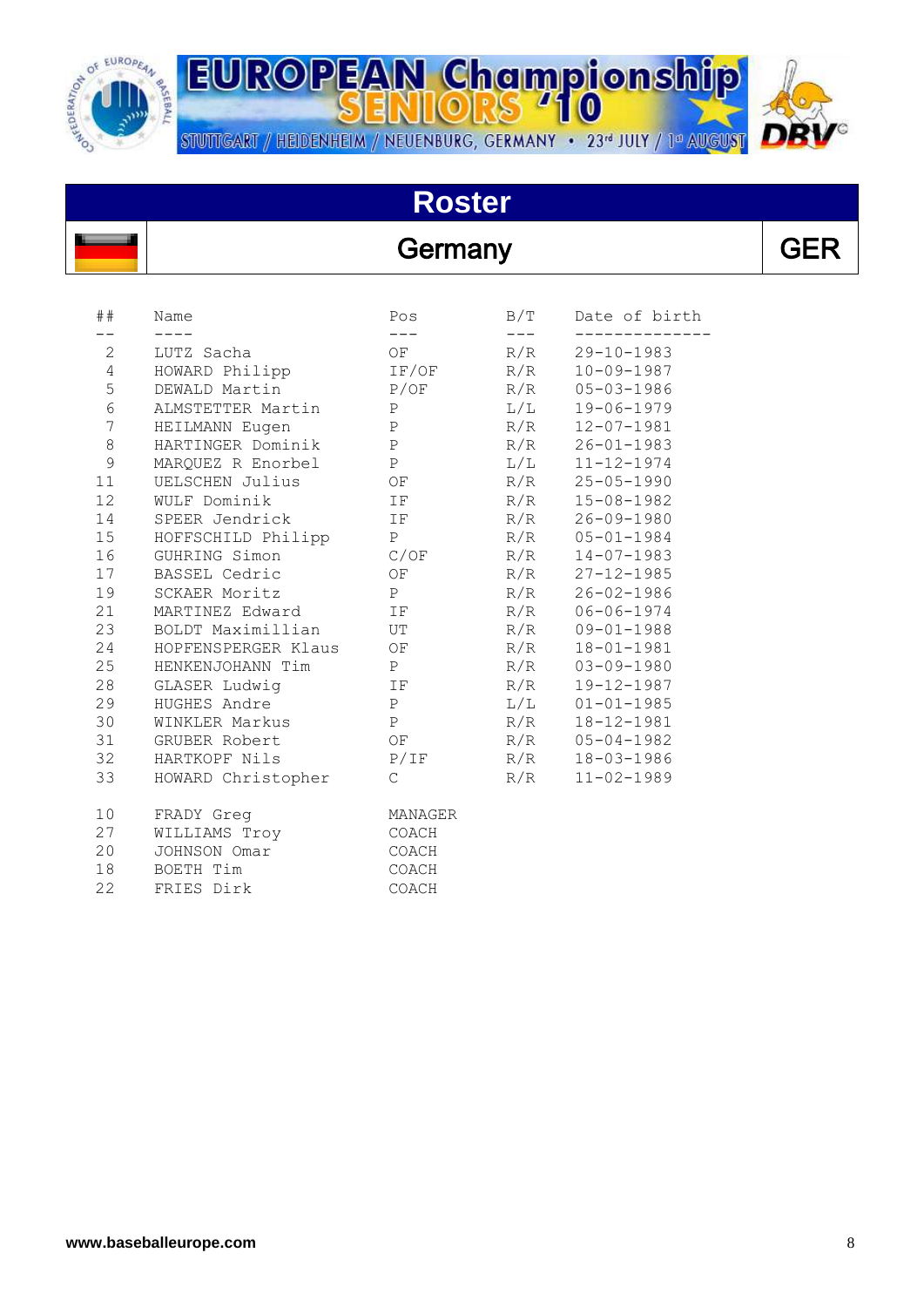

## **Roster**

#### Germany GER

| ##              | Name<br>$- - - -$      | Pos<br>$\frac{1}{2}$                                          | B/T          | Date of birth    |
|-----------------|------------------------|---------------------------------------------------------------|--------------|------------------|
| $\mathbf{2}$    | LUTZ Sacha             | $OF$ and $\overline{F}$ and $\overline{F}$ and $\overline{F}$ | $---$<br>R/R | $29 - 10 - 1983$ |
| $\overline{4}$  | HOWARD Philipp         | IF/OF                                                         | R/R          | $10 - 09 - 1987$ |
| 5               | DEWALD Martin          | P/OF                                                          | R/R          | $05 - 03 - 1986$ |
| $6\,$           | ALMSTETTER Martin P    |                                                               | L/L          | 19-06-1979       |
| $\sqrt{ }$      | HEILMANN Eugen P       |                                                               | R/R          | $12 - 07 - 1981$ |
| 8               | HARTINGER Dominik P    |                                                               | R/R          | $26 - 01 - 1983$ |
| 9               | MARQUEZ R Enorbel P    |                                                               | L/L          | $11 - 12 - 1974$ |
| 11              | UELSCHEN Julius        | OF                                                            | R/R          | $25 - 05 - 1990$ |
| 12              | WULF Dominik           | $\mathbb{T} \to$                                              | R/R          | $15 - 08 - 1982$ |
| 14              | SPEER Jendrick IF      |                                                               | R/R          | $26 - 09 - 1980$ |
| 15              | HOFFSCHILD Philipp P   |                                                               | R/R          | $05 - 01 - 1984$ |
|                 | 16 GUHRING Simon       | C/OF                                                          | R/R          | $14 - 07 - 1983$ |
| 17              | BASSEL Cedric          | OF                                                            | R/R          | $27 - 12 - 1985$ |
| 19              | SCKAER Moritz P        |                                                               | R/R          | $26 - 02 - 1986$ |
| 21              | MARTINEZ Edward IF     |                                                               | R/R          | $06 - 06 - 1974$ |
| 23              | BOLDT Maximillian UT   |                                                               | R/R          | $09 - 01 - 1988$ |
| 24              | HOPFENSPERGER Klaus OF |                                                               | R/R          | $18 - 01 - 1981$ |
| 25              | HENKENJOHANN Tim P     |                                                               | R/R          | $03 - 09 - 1980$ |
| 28              | GLASER Ludwig          | IF                                                            | R/R          | 19-12-1987       |
| 29              | HUGHES Andre           | P                                                             | L/L          | $01 - 01 - 1985$ |
| 30              | WINKLER Markus         | $\mathbb P$                                                   | R/R          | 18-12-1981       |
| 31              | GRUBER Robert          | OF                                                            | R/R          | $05 - 04 - 1982$ |
| 32              | HARTKOPF Nils          | P/IF                                                          | R/R          | $18 - 03 - 1986$ |
| 33              | HOWARD Christopher     | $\mathbb C$                                                   | R/R          | $11 - 02 - 1989$ |
| 10 <sub>o</sub> | FRADY Greg             | MANAGER                                                       |              |                  |
| 27              | WILLIAMS Troy          | COACH                                                         |              |                  |
| 20              | JOHNSON Omar           | COACH                                                         |              |                  |
| 18              | BOETH Tim              | COACH                                                         |              |                  |
| 22              | FRIES Dirk             | COACH                                                         |              |                  |



 $\overline{a}$ 

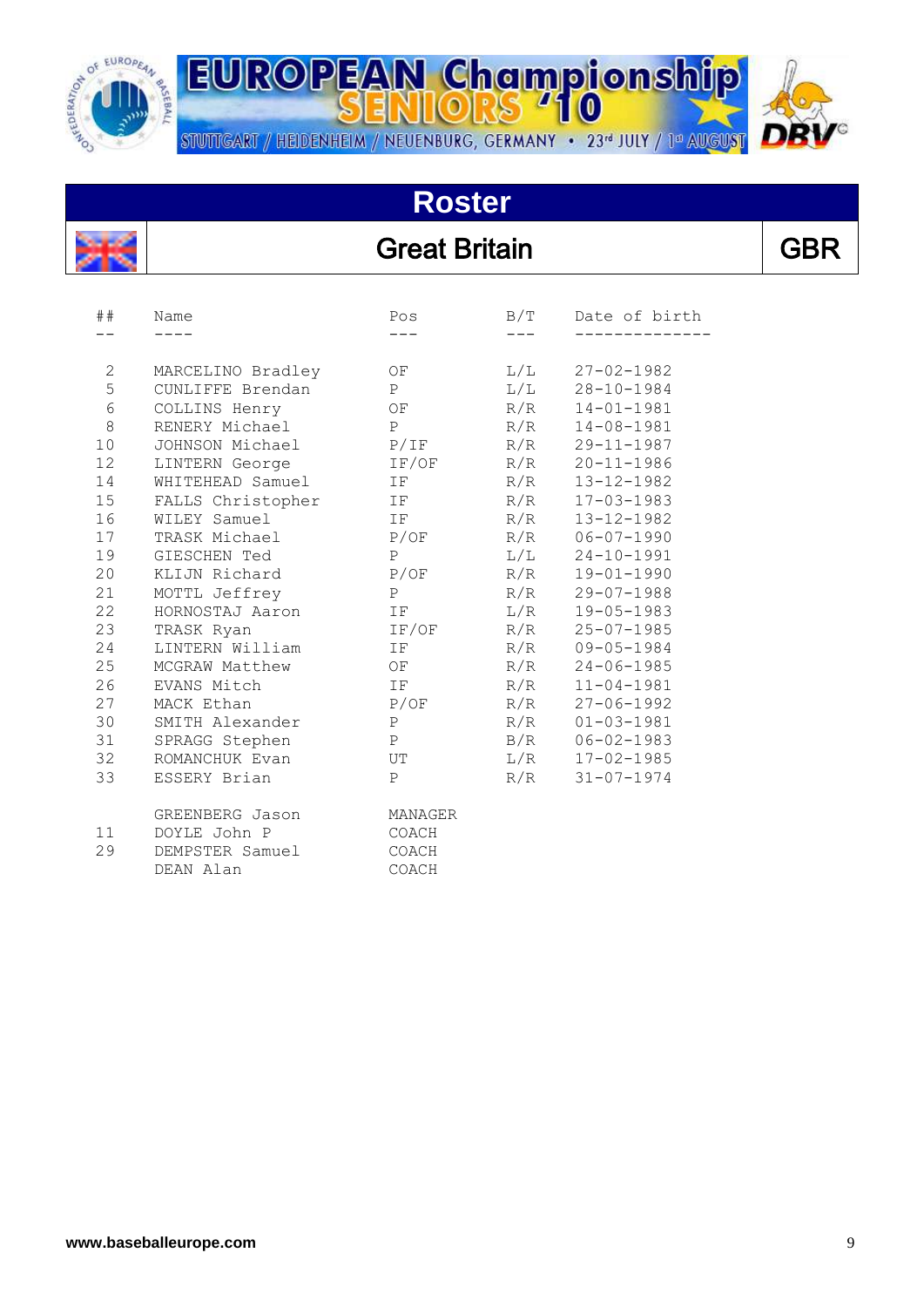

STUTTGART / HEIDENHEIM / NEUENBURG, GERMANY • 23<sup>d</sup> JULY / 1<sup>d</sup> AUGUST

#### **Roster**

**EUROPEAN Championship** 

#### Great Britain **GBR**

| ##             | Name              | Pos                             | B/T | Date of birth    |
|----------------|-------------------|---------------------------------|-----|------------------|
|                |                   |                                 |     |                  |
| $\overline{2}$ | MARCELINO Bradley | OF                              | L/L | $27 - 02 - 1982$ |
| 5              | CUNLIFFE Brendan  | $\mathbf{P}$                    | L/L | $28 - 10 - 1984$ |
| 6              | COLLINS Henry     | OF                              | R/R | $14 - 01 - 1981$ |
| 8              | RENERY Michael    | P                               | R/R | $14 - 08 - 1981$ |
| 10             | JOHNSON Michael   | P/IF                            | R/R | $29 - 11 - 1987$ |
| 12             | LINTERN George    | IF/OF                           | R/R | $20 - 11 - 1986$ |
| 14             | WHITEHEAD Samuel  | IF                              | R/R | $13 - 12 - 1982$ |
| 15             | FALLS Christopher | $\Gamma$ is the set of $\Gamma$ | R/R | $17 - 03 - 1983$ |
| 16             | WILEY Samuel      | IF                              | R/R | $13 - 12 - 1982$ |
| 17             | TRASK Michael     | P/OF                            | R/R | $06 - 07 - 1990$ |
| 19             | GIESCHEN Ted      | $\mathbf{P}$                    | L/L | $24 - 10 - 1991$ |
| 20             | KLIJN Richard     | P/OF                            | R/R | $19 - 01 - 1990$ |
| 21             | MOTTL Jeffrey     | P                               | R/R | $29 - 07 - 1988$ |
| 22             | HORNOSTAJ Aaron   | IF                              | L/R | $19 - 05 - 1983$ |
| 23             | TRASK Ryan        | IF/OF                           | R/R | $25 - 07 - 1985$ |
| 24             | LINTERN William   | IF                              | R/R | $09 - 05 - 1984$ |
| 25             | MCGRAW Matthew    | OF                              | R/R | $24 - 06 - 1985$ |
| 26             | EVANS Mitch       | IF                              | R/R | $11 - 04 - 1981$ |
| 27             | MACK Ethan        | P/OF                            | R/R | $27 - 06 - 1992$ |
| 30             | SMITH Alexander   | $\mathbf P$                     | R/R | $01 - 03 - 1981$ |
| 31             | SPRAGG Stephen    | $\mathbf{P}$                    | B/R | $06 - 02 - 1983$ |
| 32             | ROMANCHUK Evan    | UT                              | L/R | $17 - 02 - 1985$ |
| 33             | ESSERY Brian      | P                               | R/R | $31 - 07 - 1974$ |
|                | GREENBERG Jason   | MANAGER                         |     |                  |
| 11             | DOYLE John P      | COACH                           |     |                  |
| 29             | DEMPSTER Samuel   | COACH                           |     |                  |
|                | DEAN Alan         | COACH                           |     |                  |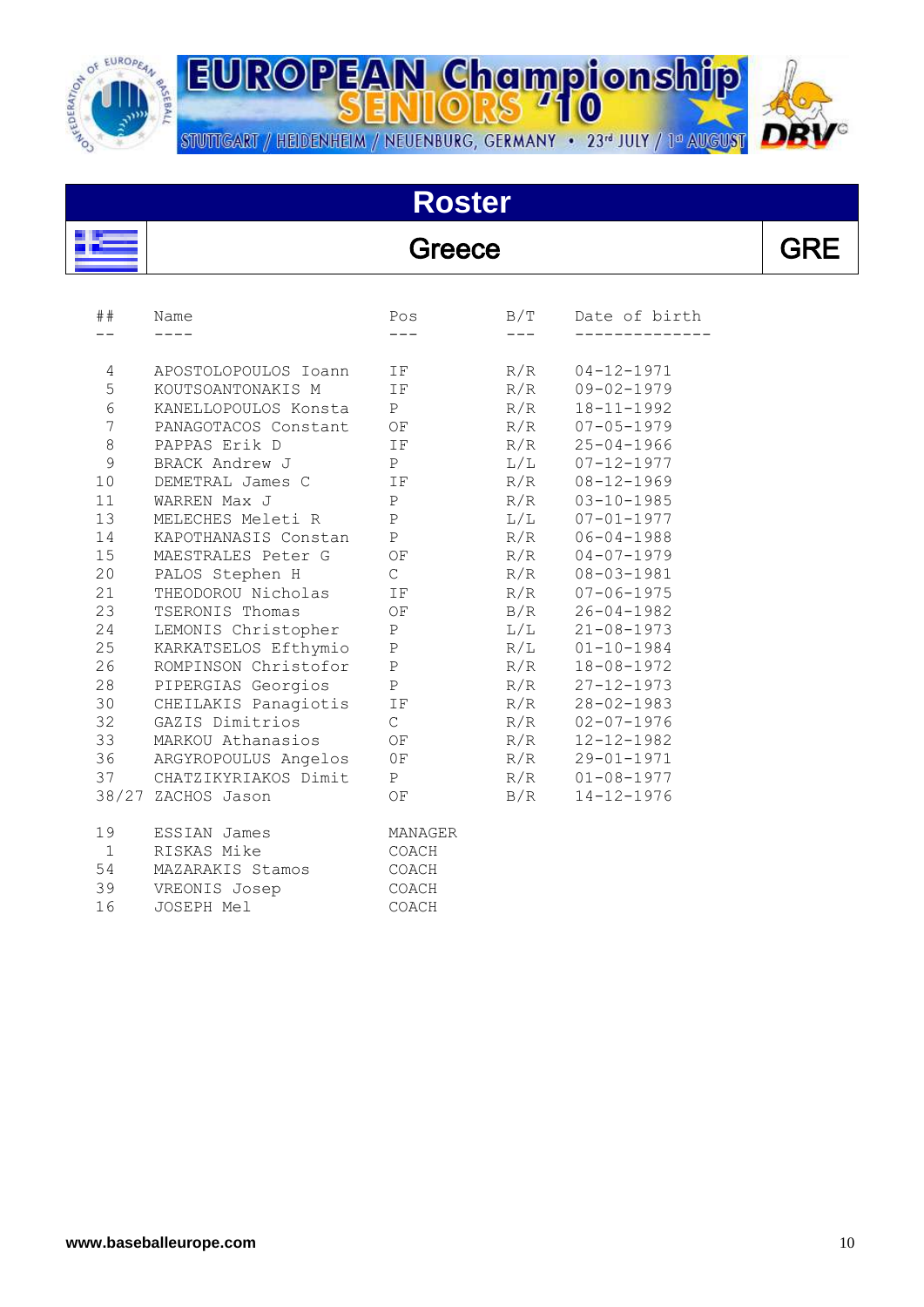

å,

 $\overline{a}$ 

**EUROPEAN Championship** STUTTGART / HEIDENHEIM / NEUENBURG, GERMANY · 23<sup>rd</sup> JULY / 1ª AUGUST

# **Roster**

#### Greece

| ##             | Name                 | Pos          | B/T | Date of birth    |
|----------------|----------------------|--------------|-----|------------------|
|                |                      |              |     |                  |
| 4              | APOSTOLOPOULOS Ioann | IF           | R/R | $04 - 12 - 1971$ |
| 5              | KOUTSOANTONAKIS M    | IF           | R/R | $09 - 02 - 1979$ |
| $6\,$          | KANELLOPOULOS Konsta | P            | R/R | $18 - 11 - 1992$ |
| $\overline{7}$ | PANAGOTACOS Constant | OF           | R/R | $07 - 05 - 1979$ |
| $\,8\,$        | PAPPAS Erik D        | IF           | R/R | $25 - 04 - 1966$ |
| $\mathcal{G}$  | BRACK Andrew J       | $\, {\bf P}$ | L/L | $07 - 12 - 1977$ |
| 10             | DEMETRAL James C     | ΙF           | R/R | $08 - 12 - 1969$ |
| 11             | WARREN Max J         | $\mathsf{P}$ | R/R | $03 - 10 - 1985$ |
| 13             | MELECHES Meleti R    | $\, {\bf P}$ | L/L | $07 - 01 - 1977$ |
| 14             | KAPOTHANASIS Constan | $\, {\bf P}$ | R/R | $06 - 04 - 1988$ |
| 15             | MAESTRALES Peter G   | OF           | R/R | $04 - 07 - 1979$ |
| 20             | PALOS Stephen H      | $\mathsf{C}$ | R/R | $08 - 03 - 1981$ |
| 21             | THEODOROU Nicholas   | ΙF           | R/R | $07 - 06 - 1975$ |
| 23             | TSERONIS Thomas      | OF           | B/R | $26 - 04 - 1982$ |
| 24             | LEMONIS Christopher  | $\, {\bf P}$ | L/L | $21 - 08 - 1973$ |
| 25             | KARKATSELOS Efthymio | $\, {\bf P}$ | R/L | $01 - 10 - 1984$ |
| 26             | ROMPINSON Christofor | $\mathbf{P}$ | R/R | $18 - 08 - 1972$ |
| 28             | PIPERGIAS Georgios   | Ρ            | R/R | $27 - 12 - 1973$ |
| 30             | CHEILAKIS Panagiotis | ΙF           | R/R | $28 - 02 - 1983$ |
| 32             | GAZIS Dimitrios      | $\mathsf{C}$ | R/R | $02 - 07 - 1976$ |
| 33             | MARKOU Athanasios    | OF           | R/R | $12 - 12 - 1982$ |
| 36             | ARGYROPOULUS Angelos | 0F           | R/R | $29 - 01 - 1971$ |
| 37             | CHATZIKYRIAKOS Dimit | P            | R/R | $01 - 08 - 1977$ |
|                | 38/27 ZACHOS Jason   | OF           | B/R | $14 - 12 - 1976$ |
| 19             | ESSIAN James         | MANAGER      |     |                  |
| $\mathbf{1}$   | RISKAS Mike          | COACH        |     |                  |
| 54             | MAZARAKIS Stamos     | COACH        |     |                  |
| 39             | VREONIS Josep        | COACH        |     |                  |
| 16             | JOSEPH Mel           | COACH        |     |                  |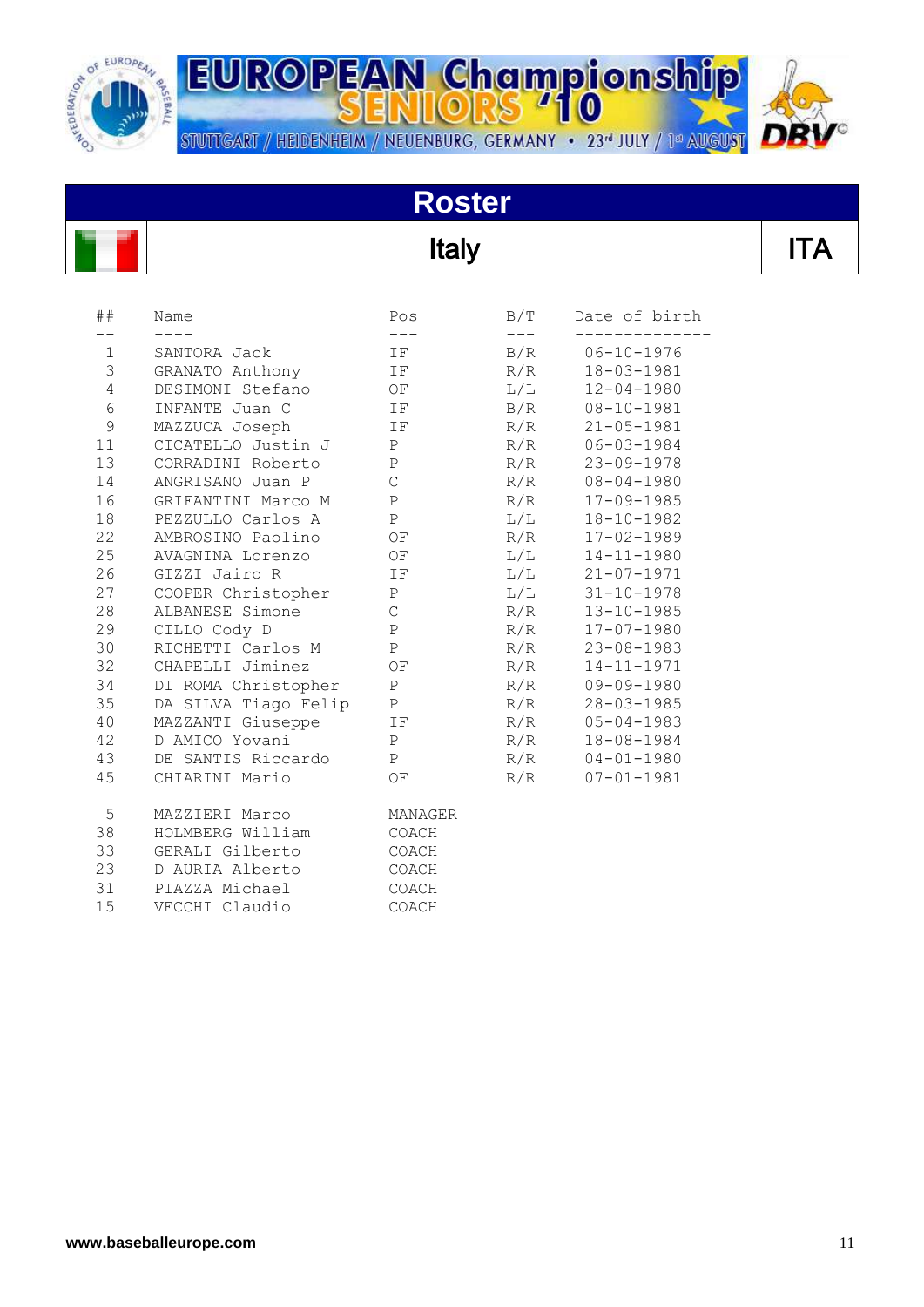

**EUROPEAN Championship** STUTTGART / HEIDENHEIM / NEUENBURG, GERMANY • 23<sup>d</sup> JULY / 1<sup>d</sup> AUGUST

# **Roster**

## Italy

| ##            | Name                 | Pos          | B/T | Date of birth    |
|---------------|----------------------|--------------|-----|------------------|
| $\mathbf 1$   | SANTORA Jack         | IF           | B/R | $06 - 10 - 1976$ |
| 3             | GRANATO Anthony      | IF           | R/R | $18 - 03 - 1981$ |
| 4             | DESIMONI Stefano     | OF           | L/L | $12 - 04 - 1980$ |
| $6\,$         | INFANTE Juan C       | ΙF           | B/R | $08 - 10 - 1981$ |
| $\mathcal{G}$ | MAZZUCA Joseph       | ΙF           | R/R | $21 - 05 - 1981$ |
| 11            | CICATELLO Justin J   | Ρ            | R/R | $06 - 03 - 1984$ |
| 13            | CORRADINI Roberto    | $\, {\bf P}$ | R/R | $23 - 09 - 1978$ |
| 14            | ANGRISANO Juan P     | $\mathsf{C}$ | R/R | $08 - 04 - 1980$ |
| 16            | GRIFANTINI Marco M   | $\, {\bf P}$ | R/R | $17 - 09 - 1985$ |
| 18            | PEZZULLO Carlos A    | $\, {\bf P}$ | L/L | $18 - 10 - 1982$ |
| 22            | AMBROSINO Paolino    | ΟF           | R/R | $17 - 02 - 1989$ |
| 25            | AVAGNINA Lorenzo     | OF           | L/L | $14 - 11 - 1980$ |
| 26            | GIZZI Jairo R        | IF           | L/L | $21 - 07 - 1971$ |
| 27            | COOPER Christopher   | $\mathbf P$  | L/L | $31 - 10 - 1978$ |
| 28            | ALBANESE Simone      | $\mathsf C$  | R/R | $13 - 10 - 1985$ |
| 29            | CILLO Cody D         | $\, {\bf P}$ | R/R | $17 - 07 - 1980$ |
| 30            | RICHETTI Carlos M    | $\, {\bf P}$ | R/R | $23 - 08 - 1983$ |
| 32            | CHAPELLI Jiminez     | OF           | R/R | $14 - 11 - 1971$ |
| 34            | DI ROMA Christopher  | Ρ            | R/R | $09 - 09 - 1980$ |
| 35            | DA SILVA Tiago Felip | $\, {\bf P}$ | R/R | $28 - 03 - 1985$ |
| 40            | MAZZANTI Giuseppe    | ΙF           | R/R | $05 - 04 - 1983$ |
| 42            | D AMICO Yovani       | $\, {\bf P}$ | R/R | $18 - 08 - 1984$ |
| 43            | DE SANTIS Riccardo   | $\mathbf{P}$ | R/R | $04 - 01 - 1980$ |
| 45            | CHIARINI Mario       | OF           | R/R | $07 - 01 - 1981$ |
| 5             | MAZZIERI Marco       | MANAGER      |     |                  |
| 38            | HOLMBERG William     | COACH        |     |                  |
| 33            | GERALI Gilberto      | COACH        |     |                  |
| 23            | D AURIA Alberto      | COACH        |     |                  |
| 31            | PIAZZA Michael       | COACH        |     |                  |
| 15            | VECCHI Claudio       | COACH        |     |                  |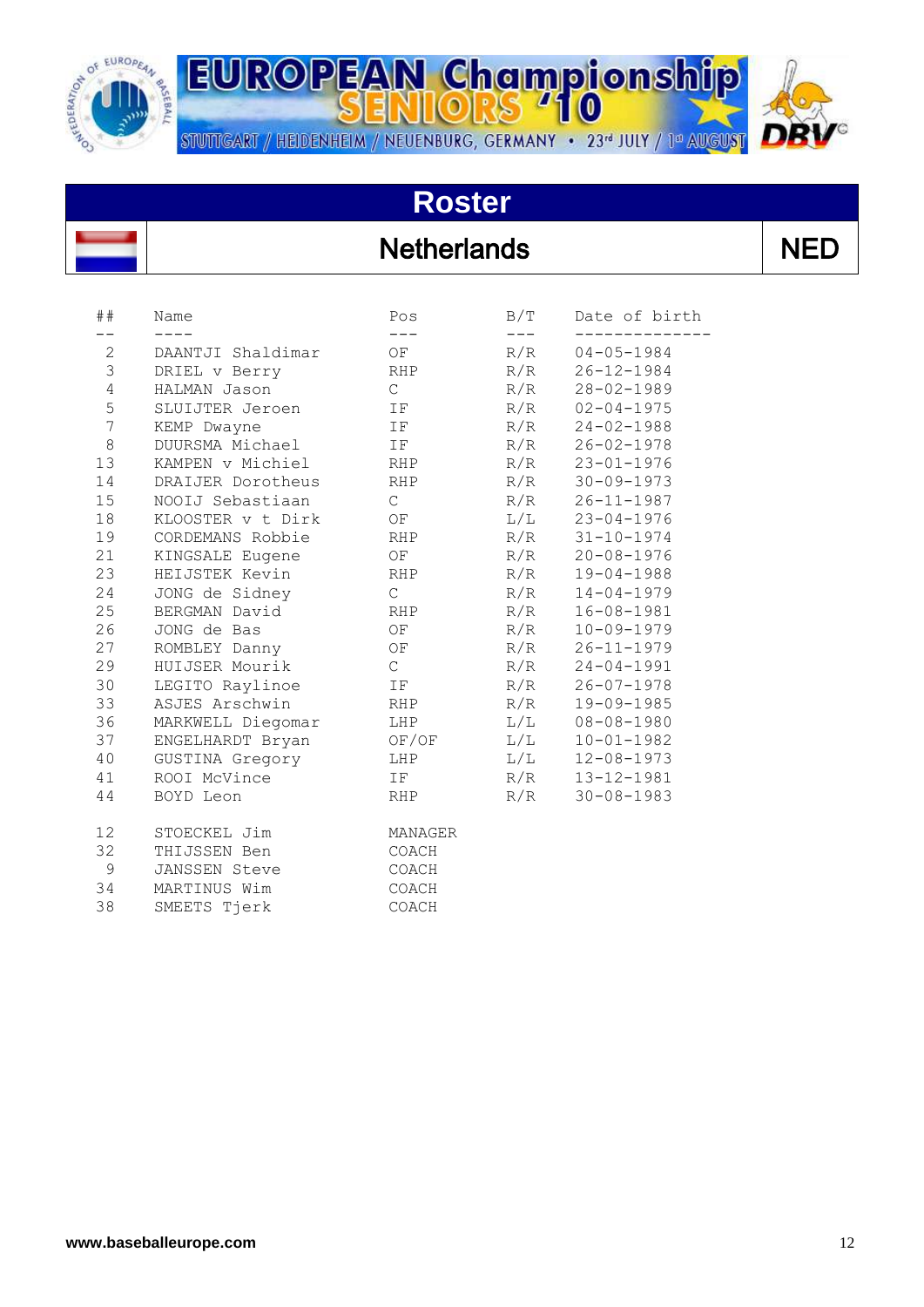

STUTTGART / HEIDENHEIM / NEUENBURG, GERMANY • 23<sup>d</sup> JULY / 1<sup>d</sup> AUGUST



#### **Roster**

#### **Netherlands**

|--|--|--|

| ##              | Name                 | Pos           | B/T | Date of birth    |
|-----------------|----------------------|---------------|-----|------------------|
|                 |                      |               |     |                  |
| $\mathbf{2}$    | DAANTJI Shaldimar    | OF            | R/R | $04 - 05 - 1984$ |
| 3               | DRIEL v Berry        | RHP           | R/R | $26 - 12 - 1984$ |
| 4               | HALMAN Jason         | $\mathcal{C}$ | R/R | $28 - 02 - 1989$ |
| 5               | SLUIJTER Jeroen      | IF            | R/R | $02 - 04 - 1975$ |
| $\overline{7}$  | KEMP Dwayne          | IF            | R/R | $24 - 02 - 1988$ |
| 8               | DUURSMA Michael      | IF            | R/R | $26 - 02 - 1978$ |
| 13              | KAMPEN v Michiel     | RHP           | R/R | $23 - 01 - 1976$ |
| 14              | DRAIJER Dorotheus    | RHP           | R/R | $30 - 09 - 1973$ |
| 15              | NOOIJ Sebastiaan     | $\mathsf{C}$  | R/R | $26 - 11 - 1987$ |
| 18              | KLOOSTER v t Dirk    | OF            | L/L | $23 - 04 - 1976$ |
| 19              | CORDEMANS Robbie     | RHP           | R/R | $31 - 10 - 1974$ |
| 21              | KINGSALE Eugene      | OF            | R/R | $20 - 08 - 1976$ |
| 23              | HEIJSTEK Kevin       | RHP           | R/R | $19 - 04 - 1988$ |
| 24              | JONG de Sidney       | $\mathcal{C}$ | R/R | $14 - 04 - 1979$ |
| 25              | BERGMAN David        | RHP           | R/R | $16 - 08 - 1981$ |
| 26              | JONG de Bas          | OF            | R/R | $10 - 09 - 1979$ |
| 27              | ROMBLEY Danny        | OF            | R/R | $26 - 11 - 1979$ |
| 29              | HUIJSER Mourik       | $\mathbb{C}$  | R/R | $24 - 04 - 1991$ |
| 30              | LEGITO Raylinoe      | IF            | R/R | $26 - 07 - 1978$ |
| 33              | ASJES Arschwin       | RHP           | R/R | $19 - 09 - 1985$ |
| 36              | MARKWELL Diegomar    | LHP           | L/L | $08 - 08 - 1980$ |
| 37              | ENGELHARDT Bryan     | OF/OF         | L/L | $10 - 01 - 1982$ |
| 40              | GUSTINA Gregory      | LHP           | L/L | $12 - 08 - 1973$ |
| 41              | ROOI McVince         | IF            | R/R | $13 - 12 - 1981$ |
| 44              | BOYD Leon            | RHP           | R/R | $30 - 08 - 1983$ |
| 12 <sup>°</sup> | STOECKEL Jim         | MANAGER       |     |                  |
| 32              | THIJSSEN Ben         | COACH         |     |                  |
| 9               | <b>JANSSEN Steve</b> | COACH         |     |                  |
| 34              | MARTINUS Wim         | COACH         |     |                  |
| 38              | SMEETS Tjerk         | COACH         |     |                  |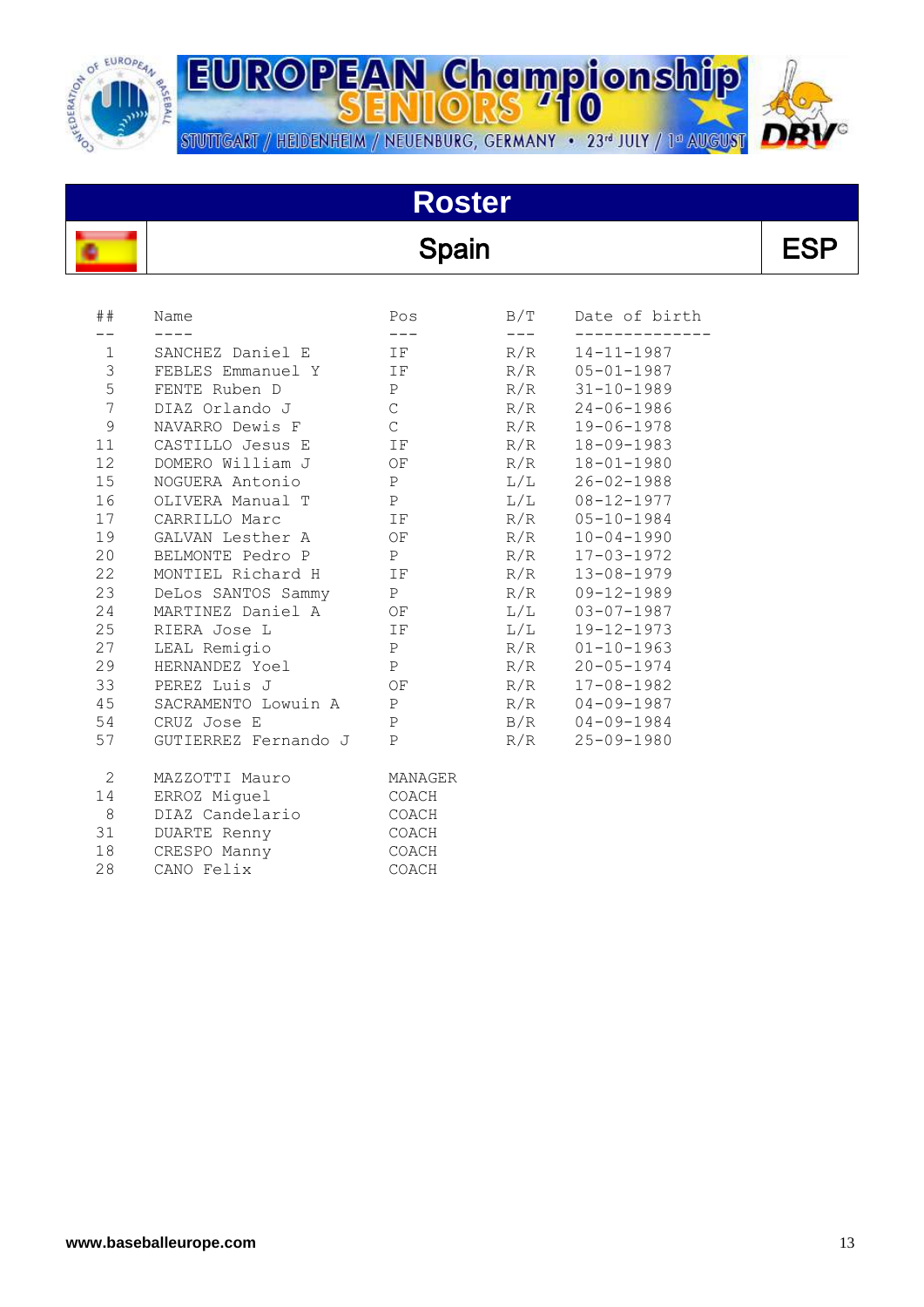

**EUROPEAN Championship** STUTTGART / HEIDENHEIM / NEUENBURG, GERMANY • 23<sup>d</sup> JULY / 1<sup>d</sup> AUGUST



# **Roster**

| <b>Spain</b> |     |               | <b>ESP</b> |
|--------------|-----|---------------|------------|
|              | B/T | Date of birth |            |
|              |     |               |            |

| ##              | Name                 | Pos                 | B/T           | Date of birth    |
|-----------------|----------------------|---------------------|---------------|------------------|
| $- -$           | $- - - -$            | $\qquad \qquad - -$ | $\frac{1}{2}$ |                  |
| $\mathbf{1}$    | SANCHEZ Daniel E TF  |                     | R/R           | 14-11-1987       |
| $\mathcal{S}$   | FEBLES Emmanuel Y IF |                     | R/R           | $05 - 01 - 1987$ |
| 5 <sub>1</sub>  | FENTE Ruben D        | P                   | R/R           | $31 - 10 - 1989$ |
| $7\overline{ }$ | DIAZ Orlando J       | $\mathbb C$         | R/R           | 24-06-1986       |
| 9               | NAVARRO Dewis F      | $\mathbb{C}$        | R/R           | 19-06-1978       |
| 11              | CASTILLO Jesus E IF  |                     | R/R           | $18 - 09 - 1983$ |
| 12              | DOMERO William J     | OF                  | R/R           | $18 - 01 - 1980$ |
| 15              | NOGUERA Antonio      | P                   | L/L           | $26 - 02 - 1988$ |
| 16              | OLIVERA Manual T     | P                   | L/L           | 08-12-1977       |
|                 | 17 CARRILLO Marc     | IF                  | R/R           | $05 - 10 - 1984$ |
| 19              | GALVAN Lesther A OF  |                     | R/R           | $10 - 04 - 1990$ |
| 20              | BELMONTE Pedro P     | $\mathbb{P}$        | R/R           | $17 - 03 - 1972$ |
| 22              | MONTIEL Richard H IF |                     | R/R           | $13 - 08 - 1979$ |
| 23              | DeLos SANTOS Sammy P |                     | R/R           | 09-12-1989       |
| 24              | MARTINEZ Daniel A OF |                     | L/L           | $03 - 07 - 1987$ |
| 25              | RIERA Jose L         | IF                  | L/L           | 19-12-1973       |
| 27              | LEAL Remigio         | P                   | R/R           | $01 - 10 - 1963$ |
| 29              | HERNANDEZ Yoel P     |                     | R/R           | $20 - 05 - 1974$ |
|                 | 33 PEREZ Luis J      | OF                  | R/R           | 17-08-1982       |
| 45              | SACRAMENTO Lowuin A  | P                   | R/R           | $04 - 09 - 1987$ |
| 54              | CRUZ Jose E          | P                   | B/R           | $04 - 09 - 1984$ |
| 57              | GUTIERREZ Fernando J | P                   | R/R           | 25-09-1980       |
| 2               | MAZZOTTI Mauro       | MANAGER             |               |                  |
| 14              | ERROZ Miguel         | COACH               |               |                  |
| 8               | DIAZ Candelario      | COACH               |               |                  |
| 31              | DUARTE Renny         | COACH               |               |                  |
| 18              | CRESPO Manny         | COACH               |               |                  |
| 28              | CANO Felix           | COACH               |               |                  |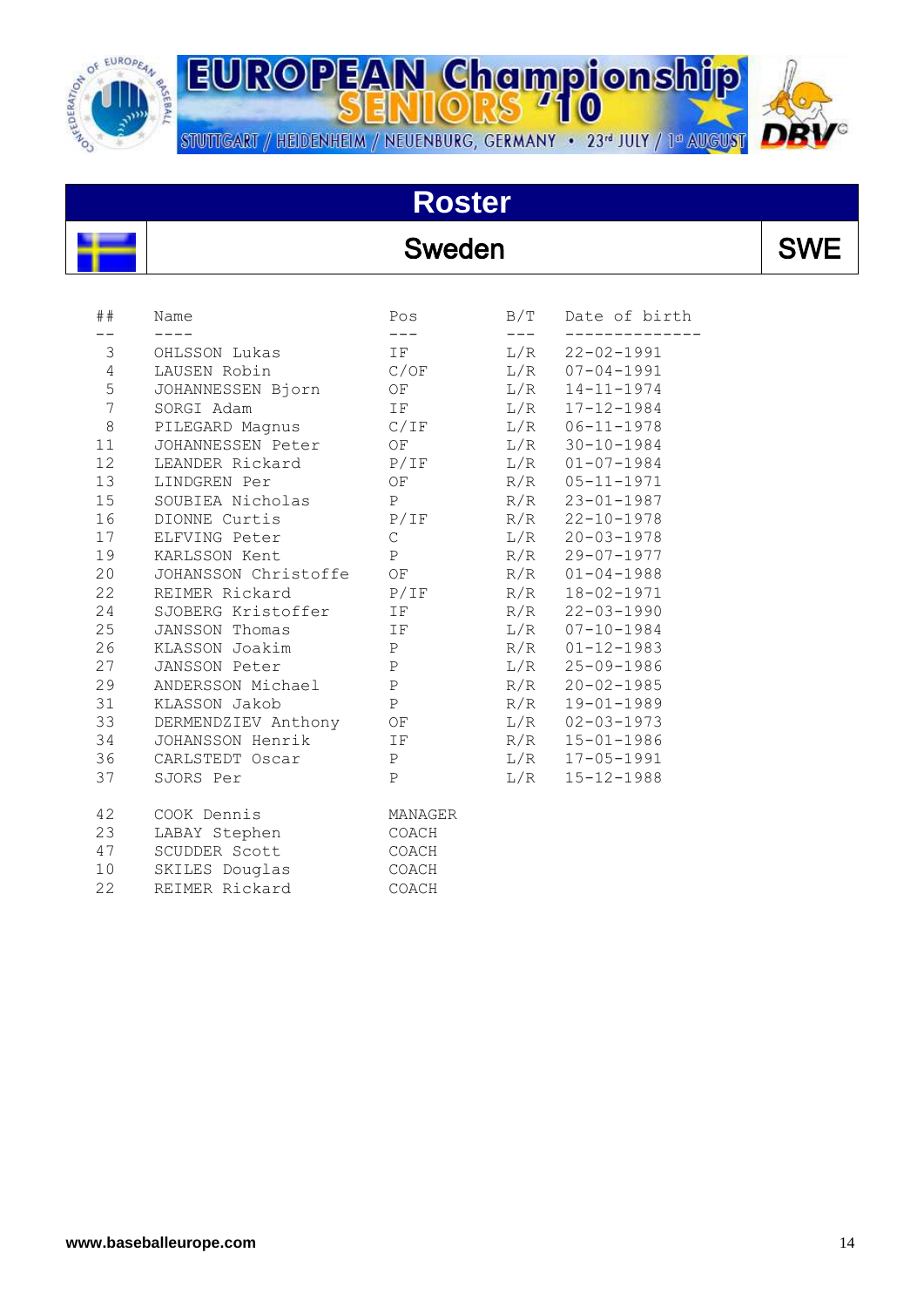

# **Roster**

#### Sweden SWE

| ##               | Name                    | Pos                       | B/T          | Date of birth      |
|------------------|-------------------------|---------------------------|--------------|--------------------|
| 3                | OHLSSON Lukas           | $\qquad \qquad - -$<br>IF | $---$<br>L/R | $22 - 02 - 1991$   |
| $\overline{4}$   | LAUSEN Robin            | C/OF                      |              | $L/R$ 07-04-1991   |
| 5                | JOHANNESSEN Bjorn       | OF                        | L/R          | $14 - 11 - 1974$   |
| $\boldsymbol{7}$ | SORGI Adam              | IF                        | L/R          | $17 - 12 - 1984$   |
| $\,8\,$          | PILEGARD Magnus         | C/IF                      |              | $L/R$ 06-11-1978   |
| 11               | JOHANNESSEN Peter       | OF                        |              | $L/R$ 30-10-1984   |
| 12               | LEANDER Rickard         | P/IF                      |              | $L/R$ 01-07-1984   |
| 13               | LINDGREN Per            | OF                        |              | R/R 05-11-1971     |
| 15               | SOUBIEA Nicholas        | P                         | R/R          | $23 - 01 - 1987$   |
| 16               | DIONNE Curtis           | P/IF                      | R/R          | $22 - 10 - 1978$   |
| 17               | ELFVING Peter           | $\mathsf C$               |              | $L/R$ 20-03-1978   |
| 19               | KARLSSON Kent           | P                         |              | R/R 29-07-1977     |
| 20               | JOHANSSON Christoffe OF |                           |              | $R/R$ $01-04-1988$ |
| 22               | REIMER Rickard          | P/IF                      | R/R          | $18 - 02 - 1971$   |
| 24               | SJOBERG Kristoffer      | IF                        | R/R          | $22 - 03 - 1990$   |
| 25               | JANSSON Thomas          | IF                        |              | $L/R$ 07-10-1984   |
| 26               | KLASSON Joakim          | P                         |              | R/R 01-12-1983     |
| 27               | JANSSON Peter           | P                         |              | $L/R$ 25-09-1986   |
| 29               | ANDERSSON Michael       | $\, {\bf P}$              |              | R/R 20-02-1985     |
| 31               | KLASSON Jakob           | $\, {\bf P}$              | R/R          | $19 - 01 - 1989$   |
| 33               | DERMENDZIEV Anthony OF  |                           | L/R          | $02 - 03 - 1973$   |
| 34               | JOHANSSON Henrik        | IF                        | R/R          | $15 - 01 - 1986$   |
| 36               | CARLSTEDT Oscar         | P                         | L/R          | $17 - 05 - 1991$   |
| 37               | SJORS Per               | $\mathbf{P}$              | L/R          | $15 - 12 - 1988$   |
| 42               | COOK Dennis             | MANAGER                   |              |                    |
| 23               | LABAY Stephen           | COACH                     |              |                    |
| 47               | SCUDDER Scott           | COACH                     |              |                    |
| 10               | SKILES Douglas          | COACH                     |              |                    |
| 22               | REIMER Rickard          | COACH                     |              |                    |



 $\overline{\phantom{a}}$ 

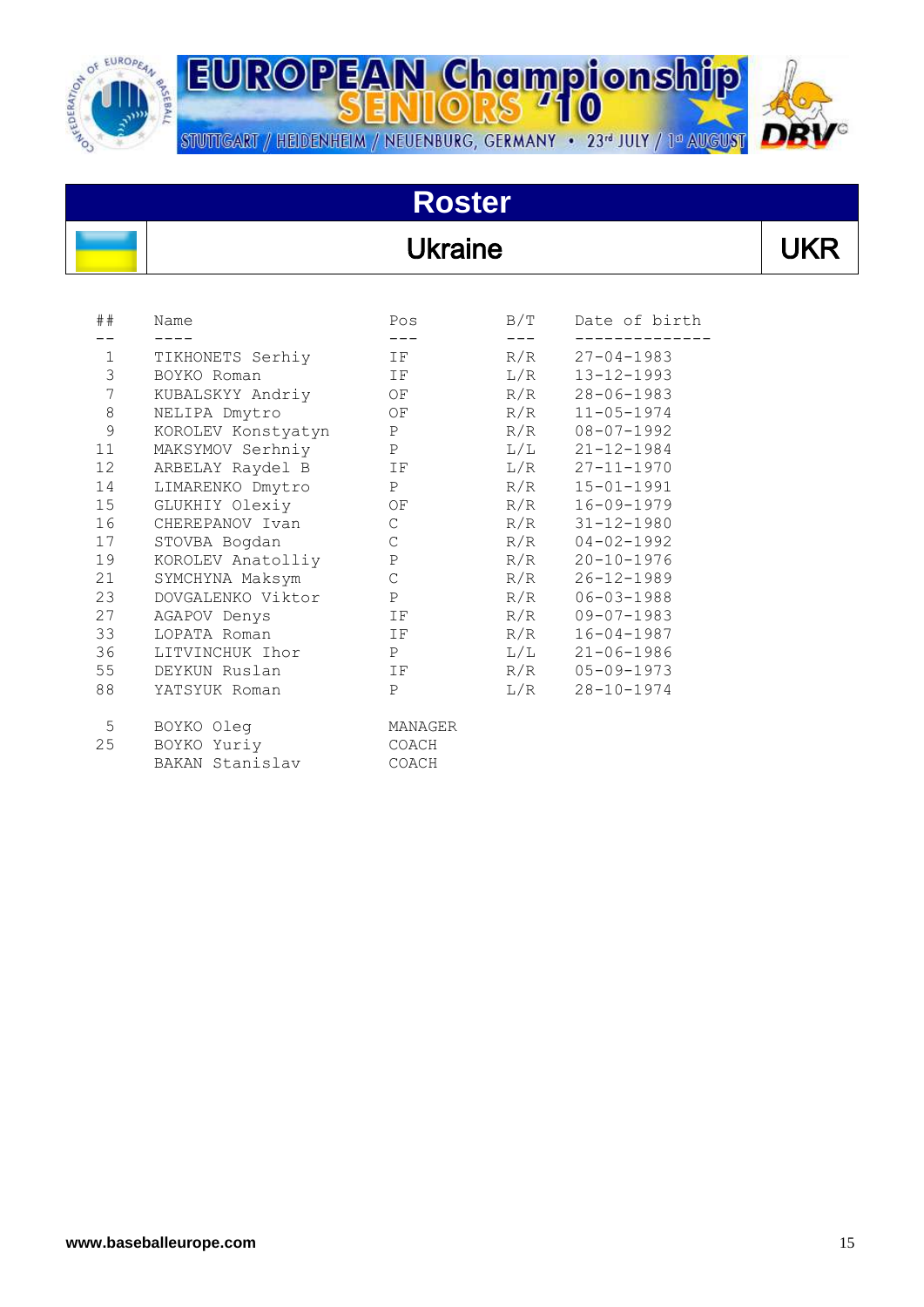

**EUROPEAN Championship** STUTTGART / HEIDENHEIM / NEUENBURG, GERMANY • 23<sup>d</sup> JULY / 1<sup>d</sup> AUGUST

# **Roster**

#### Ukraine

| ##                     | Name                 | Pos          | B/T   | Date of birth    |
|------------------------|----------------------|--------------|-------|------------------|
|                        |                      | $---$        | $---$ |                  |
| $1 \quad \blacksquare$ | TIKHONETS Serhiy     | IF           | R/R   | $27 - 04 - 1983$ |
| 3                      | BOYKO Roman          | IF           | L/R   | $13 - 12 - 1993$ |
| $7\phantom{.}$         | KUBALSKYY Andriy OF  |              | R/R   | $28 - 06 - 1983$ |
| $\,8\,$                | NELIPA Dmytro        | OF           | R/R   | $11 - 05 - 1974$ |
| $\mathsf 9$            | KOROLEV Konstyatyn P |              | R/R   | $08 - 07 - 1992$ |
| 11                     | MAKSYMOV Serhniy     | P            | L/L   | $21 - 12 - 1984$ |
| 12                     | ARBELAY Raydel B IF  |              | L/R   | $27 - 11 - 1970$ |
| 14                     | LIMARENKO Dmytro P   |              | R/R   | $15 - 01 - 1991$ |
| 15                     | GLUKHIY Olexiy OF    |              | R/R   | $16 - 09 - 1979$ |
| 16                     | CHEREPANOV Ivan      | $\mathsf C$  | R/R   | $31 - 12 - 1980$ |
| 17                     | STOVBA Bogdan        | $\mathsf{C}$ | R/R   | $04 - 02 - 1992$ |
| 19                     | KOROLEV Anatolliy    | P            | R/R   | $20 - 10 - 1976$ |
| 21                     | SYMCHYNA Maksym      | $\mathsf{C}$ | R/R   | $26 - 12 - 1989$ |
| 23                     | DOVGALENKO Viktor P  |              | R/R   | $06 - 03 - 1988$ |
| 27                     | AGAPOV Denys         | IF           | R/R   | $09 - 07 - 1983$ |
| 33                     | LOPATA Roman         | IF           | R/R   | $16 - 04 - 1987$ |
| 36                     | LITVINCHUK Ihor      | P            | L/L   | $21 - 06 - 1986$ |
| 55                     | DEYKUN Ruslan        | IF           | R/R   | $05 - 09 - 1973$ |
| 88                     | YATSYUK Roman        | P            | L/R   | $28 - 10 - 1974$ |
| 5                      | BOYKO Oleg           | MANAGER      |       |                  |
| 25                     | BOYKO Yuriy          | COACH        |       |                  |
|                        | BAKAN Stanislav      | COACH        |       |                  |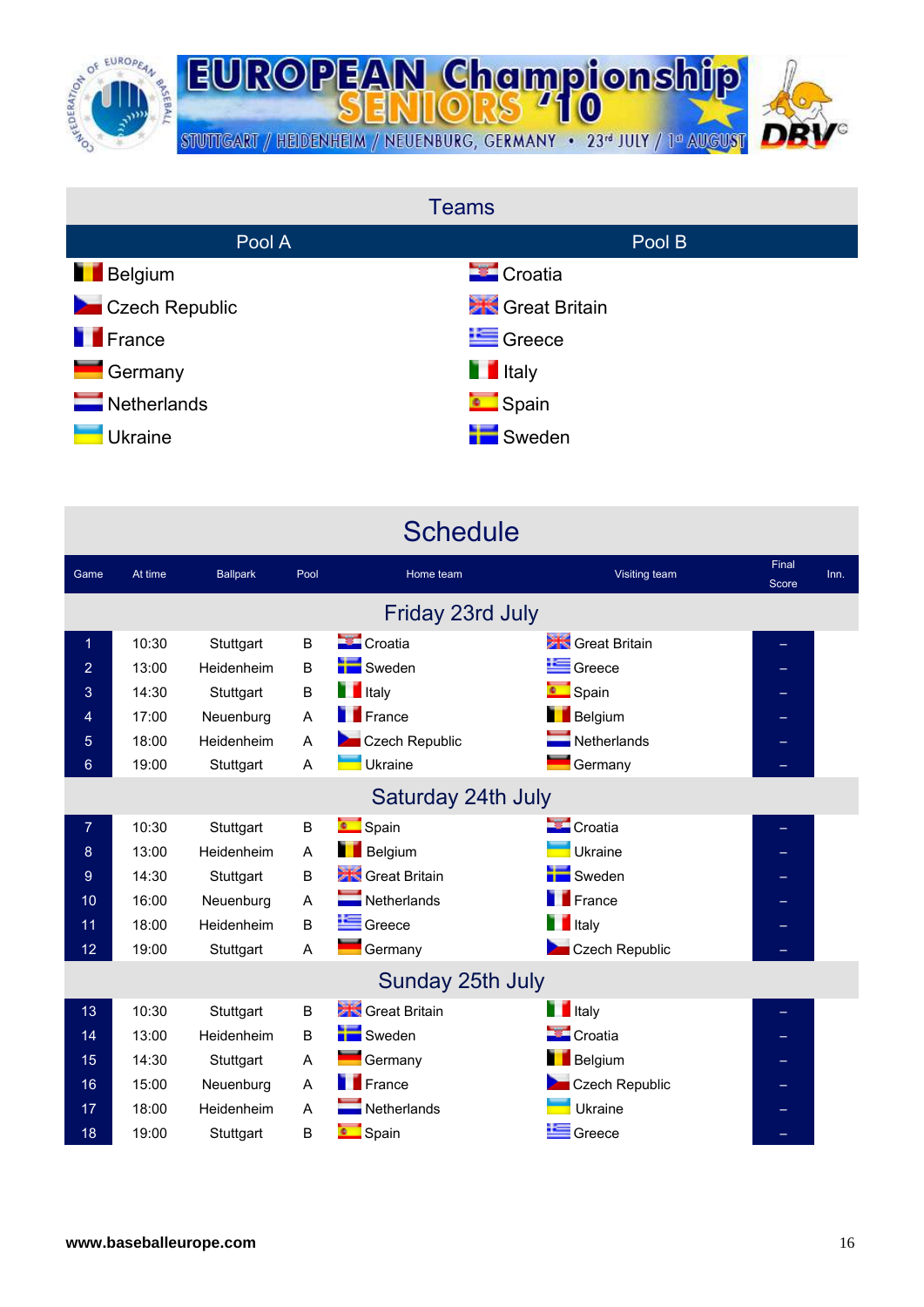

| <b>Teams</b>               |                            |  |  |  |  |  |
|----------------------------|----------------------------|--|--|--|--|--|
| Pool A                     | Pool B                     |  |  |  |  |  |
| <b>Belgium</b>             | <b>Ex</b> Croatia          |  |  |  |  |  |
| Czech Republic             | <b>State</b> Great Britain |  |  |  |  |  |
| <b>France</b>              | $E$ Greece                 |  |  |  |  |  |
| Germany                    | <b>T</b> Italy             |  |  |  |  |  |
| $\blacksquare$ Netherlands | <b>C</b> Spain             |  |  |  |  |  |
| Ukraine                    | Sweden                     |  |  |  |  |  |

|                    | <b>Schedule</b> |                 |      |                            |                            |                |      |
|--------------------|-----------------|-----------------|------|----------------------------|----------------------------|----------------|------|
| Game               | At time         | <b>Ballpark</b> | Pool | Home team                  | Visiting team              | Final<br>Score | Inn. |
|                    |                 |                 |      | Friday 23rd July           |                            |                |      |
| 1                  | 10:30           | Stuttgart       | B    | <b>Croatia</b>             | Great Britain              |                |      |
| 2                  | 13:00           | Heidenheim      | B    | Sweden                     | Greece                     |                |      |
| 3                  | 14:30           | Stuttgart       | B    | <b>T</b> Italy             | <b>C</b> Spain             |                |      |
| 4                  | 17:00           | Neuenburg       | A    | <b>France</b>              | <b>Belgium</b>             |                |      |
| 5                  | 18:00           | Heidenheim      | A    | Czech Republic             | $\blacksquare$ Netherlands |                |      |
| 6                  | 19:00           | Stuttgart       | A    | Ukraine                    | Germany                    |                |      |
| Saturday 24th July |                 |                 |      |                            |                            |                |      |
| $\overline{7}$     | 10:30           | Stuttgart       | B    | <b>Company</b> Spain       | Croatia                    |                |      |
| 8                  | 13:00           | Heidenheim      | A    | <b>Belgium</b>             | Ukraine                    |                |      |
| 9                  | 14:30           | Stuttgart       | B    | Great Britain              | Sweden                     |                |      |
| 10                 | 16:00           | Neuenburg       | A    | $\blacksquare$ Netherlands | <b>France</b>              |                |      |
| 11                 | 18:00           | Heidenheim      | B    | Greece                     | <b>T</b> Italy             |                |      |
| 12                 | 19:00           | Stuttgart       | A    | Germany                    | Czech Republic             |                |      |
|                    |                 |                 |      | Sunday 25th July           |                            |                |      |
| 13                 | 10:30           | Stuttgart       | B    | Great Britain              | <b>T</b> Italy             |                |      |
| 14                 | 13:00           | Heidenheim      | B    | Sweden                     | Croatia                    |                |      |
| 15                 | 14:30           | Stuttgart       | A    | Germany                    | <b>Belgium</b>             |                |      |
| 16                 | 15:00           | Neuenburg       | A    | <b>France</b>              | Czech Republic             |                |      |
| 17                 | 18:00           | Heidenheim      | A    | $\blacksquare$ Netherlands | Ukraine                    |                |      |
| 18                 | 19:00           | Stuttgart       | B    | Spain                      | Greece                     |                |      |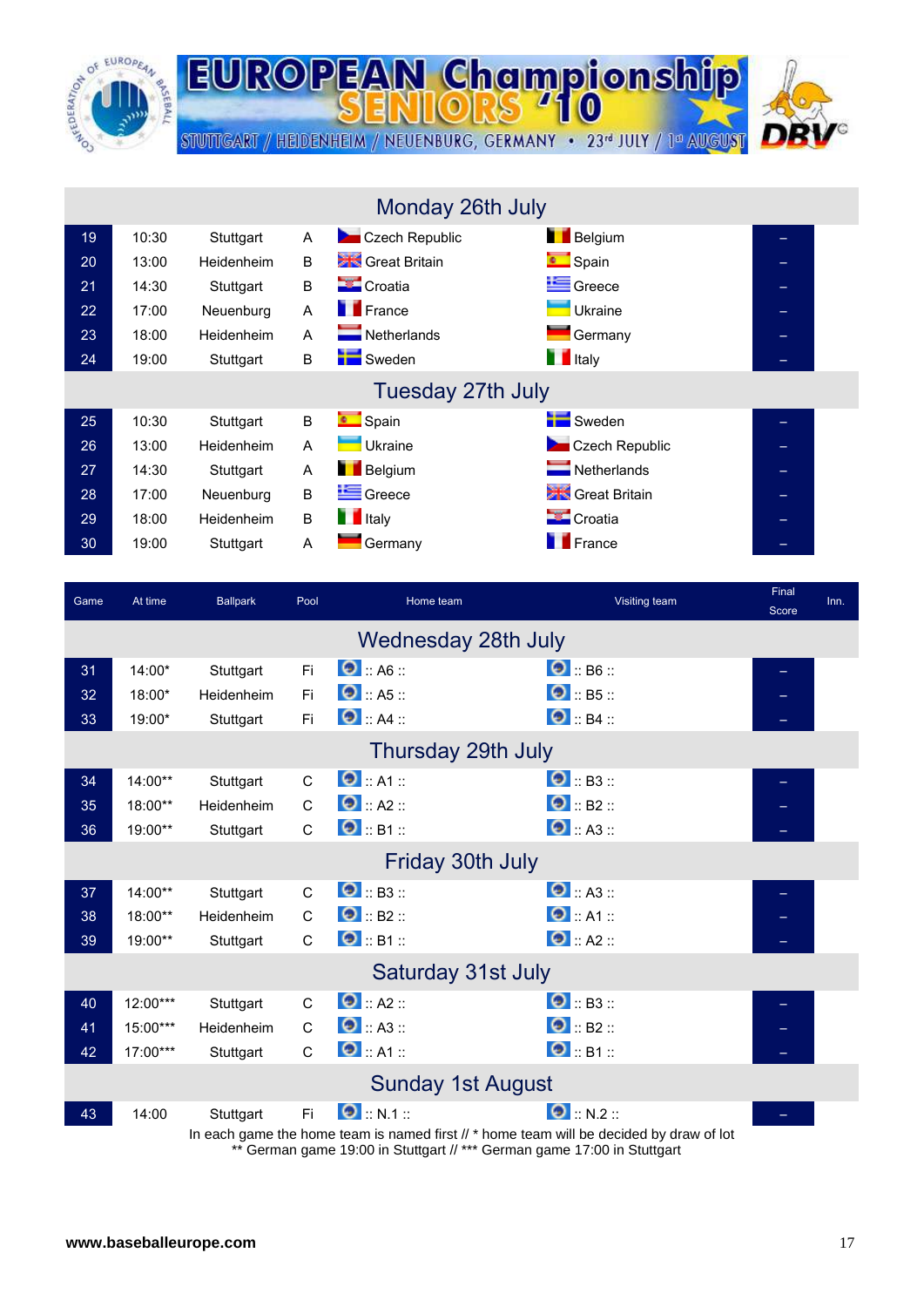

| Monday 26th July |                   |            |   |                            |                            |   |  |  |
|------------------|-------------------|------------|---|----------------------------|----------------------------|---|--|--|
| 19               | 10:30             | Stuttgart  | A | Czech Republic             | <b>Belgium</b>             |   |  |  |
| 20               | 13:00             | Heidenheim | B | <b>Stro</b> Great Britain  | <b>C</b> Spain             |   |  |  |
| 21               | 14:30             | Stuttgart  | B | <b>Croatia</b>             | Greece                     | - |  |  |
| 22 <sub>2</sub>  | 17:00             | Neuenburg  | A | <b>France</b>              | Ukraine                    | - |  |  |
| 23               | 18:00             | Heidenheim | A | $\blacksquare$ Netherlands | Germany                    |   |  |  |
| 24               | 19:00             | Stuttgart  | B | <b>N</b> Sweden            | <b>T</b> Italy             |   |  |  |
|                  | Tuesday 27th July |            |   |                            |                            |   |  |  |
| 25               | 10:30             | Stuttgart  | B | <b>Company</b> Spain       | Sweden                     |   |  |  |
| 26               | 13:00             | Heidenheim | A | Ukraine                    | Czech Republic             |   |  |  |
| 27               | 14:30             | Stuttgart  | A | <b>Belgium</b>             | $\blacksquare$ Netherlands | ⇔ |  |  |
| 28               | 17:00             | Neuenburg  | B | Greece                     | <b>State</b> Great Britain | - |  |  |
| 29               | 18:00             | Heidenheim | B | <b>T</b> Italy             | <b>Croatia</b>             |   |  |  |
| 30               | 19:00             | Stuttgart  | Α | Germany                    | <b>France</b>              |   |  |  |

**EUROPEAN Championship** 

STUTTGART / HEIDENHEIM / NEUENBURG, GERMANY · 23<sup>rd</sup> JULY / 1ª AUGUST

| Game                | At time    | <b>Ballpark</b> | Pool         | Home team                                                                               | Visiting team       | Final<br>Score | Inn. |
|---------------------|------------|-----------------|--------------|-----------------------------------------------------------------------------------------|---------------------|----------------|------|
| Wednesday 28th July |            |                 |              |                                                                                         |                     |                |      |
| 31                  | 14:00*     | Stuttgart       | Fi.          | $\bullet$ :: A6 ::                                                                      | $\bullet$ :: B6 ::  |                |      |
| 32                  | 18:00*     | Heidenheim      | Fi           | $\bullet$ :: A5 ::                                                                      | $\bullet$ :: B5 ::  |                |      |
| 33                  | 19:00*     | Stuttgart       | Fi           | $\bullet$ :: A4 ::                                                                      | $\bullet$ :: B4 ::  |                |      |
|                     |            |                 |              | Thursday 29th July                                                                      |                     |                |      |
| 34                  | 14:00**    | Stuttgart       | C            | $\bullet$ :: A1 ::                                                                      | $\bullet$ : B3 :    |                |      |
| 35                  | 18:00**    | Heidenheim      | $\mathsf{C}$ | $\bullet$ :: A2 ::                                                                      | $\bullet$ :: B2 ::  |                |      |
| 36                  | 19:00**    | Stuttgart       | $\mathsf{C}$ | $\bullet$ :: B1 ::                                                                      | $\bullet$ :: A3 ::  |                |      |
|                     |            |                 |              | Friday 30th July                                                                        |                     |                |      |
| 37                  | 14:00**    | Stuttgart       | $\mathsf{C}$ | $\bullet$ : B3 ::                                                                       | $\bullet$ :: A3 ::  |                |      |
| 38                  | 18:00**    | Heidenheim      | $\mathsf{C}$ | $\bullet$ :: B2 ::                                                                      | $\bullet$ :: A1 ::  |                |      |
| 39                  | 19:00**    | Stuttgart       | $\mathsf{C}$ | $\bullet$ :: B1 ::                                                                      | $\bullet$ :: A2 ::  |                |      |
|                     |            |                 |              | Saturday 31st July                                                                      |                     |                |      |
| 40                  | 12:00***   | Stuttgart       | $\mathsf{C}$ | $\bullet$ :: A2 ::                                                                      | $\bullet$ :: B3 ::  |                |      |
| 41                  | 15:00***   | Heidenheim      | $\mathsf{C}$ | $\bullet$ :: A3 ::                                                                      | $\bigcirc$ :: B2 :: |                |      |
| 42                  | $17:00***$ | Stuttgart       | $\mathsf{C}$ | $\bullet$ : A1 ::                                                                       | $\Theta$ :: B1 ::   |                |      |
|                     |            |                 |              | <b>Sunday 1st August</b>                                                                |                     |                |      |
| 43                  | 14:00      | Stuttgart       | Fi.          | $\bullet$ :: N.1 ::                                                                     | $\bullet$ :: N.2 :: |                |      |
|                     |            |                 |              | In each game the home team is named first // * home team will be decided by draw of lot |                     |                |      |

\*\* German game 19:00 in Stuttgart // \*\*\* German game 17:00 in Stuttgart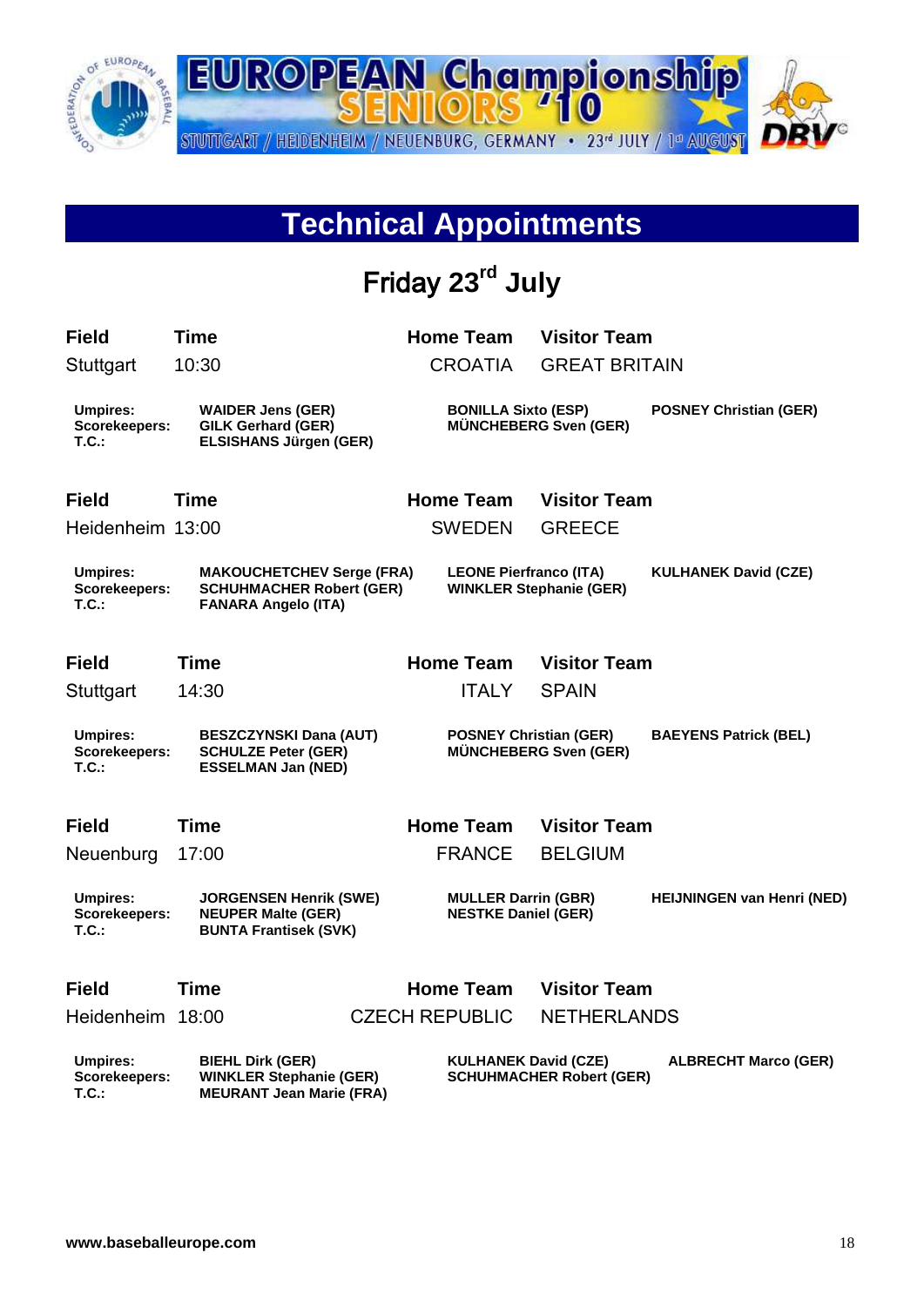

#### **Technical Appointments**

# Friday **23rd July**

| <b>Field</b>                                     | <b>Time</b>                                                                                       |  | <b>Home Team</b>                                                                              | <b>Visitor Team</b>  |                                   |
|--------------------------------------------------|---------------------------------------------------------------------------------------------------|--|-----------------------------------------------------------------------------------------------|----------------------|-----------------------------------|
| Stuttgart                                        | 10:30                                                                                             |  | <b>CROATIA</b>                                                                                | <b>GREAT BRITAIN</b> |                                   |
| <b>Umpires:</b><br>Scorekeepers:<br><b>T.C.:</b> | <b>WAIDER Jens (GER)</b><br><b>GILK Gerhard (GER)</b><br><b>ELSISHANS Jürgen (GER)</b>            |  | <b>BONILLA Sixto (ESP)</b><br><b>MÜNCHEBERG Sven (GER)</b>                                    |                      | <b>POSNEY Christian (GER)</b>     |
| <b>Field</b>                                     | <b>Time</b>                                                                                       |  | <b>Home Team</b>                                                                              | <b>Visitor Team</b>  |                                   |
| Heidenheim 13:00                                 |                                                                                                   |  | <b>SWEDEN</b>                                                                                 | <b>GREECE</b>        |                                   |
| Umpires:<br>Scorekeepers:<br>T.C.                | <b>MAKOUCHETCHEV Serge (FRA)</b><br><b>SCHUHMACHER Robert (GER)</b><br><b>FANARA Angelo (ITA)</b> |  | <b>LEONE Pierfranco (ITA)</b><br><b>WINKLER Stephanie (GER)</b>                               |                      | <b>KULHANEK David (CZE)</b>       |
| <b>Field</b>                                     | <b>Time</b>                                                                                       |  | <b>Home Team</b>                                                                              | <b>Visitor Team</b>  |                                   |
| Stuttgart                                        | 14:30                                                                                             |  | <b>ITALY</b>                                                                                  | <b>SPAIN</b>         |                                   |
| <b>Umpires:</b><br>Scorekeepers:<br>$T.C.$ :     | <b>BESZCZYNSKI Dana (AUT)</b><br><b>SCHULZE Peter (GER)</b><br><b>ESSELMAN Jan (NED)</b>          |  | <b>POSNEY Christian (GER)</b><br><b>MÜNCHEBERG Sven (GER)</b>                                 |                      | <b>BAEYENS Patrick (BEL)</b>      |
| <b>Field</b>                                     | <b>Time</b>                                                                                       |  | <b>Home Team</b>                                                                              | <b>Visitor Team</b>  |                                   |
| Neuenburg                                        | 17:00                                                                                             |  | <b>FRANCE</b>                                                                                 | <b>BELGIUM</b>       |                                   |
| <b>Umpires:</b><br>Scorekeepers:<br><b>T.C.:</b> | <b>JORGENSEN Henrik (SWE)</b><br><b>NEUPER Malte (GER)</b><br><b>BUNTA Frantisek (SVK)</b>        |  | <b>MULLER Darrin (GBR)</b><br><b>NESTKE Daniel (GER)</b>                                      |                      | <b>HEIJNINGEN van Henri (NED)</b> |
| <b>Field</b>                                     | <b>Time</b>                                                                                       |  | <b>Home Team</b>                                                                              | <b>Visitor Team</b>  |                                   |
| Heidenheim 18:00                                 |                                                                                                   |  | <b>CZECH REPUBLIC</b>                                                                         | <b>NETHERLANDS</b>   |                                   |
| <b>Umpires:</b><br>Scorekeepers:<br>T.C.         | <b>BIEHL Dirk (GER)</b><br><b>WINKLER Stephanie (GER)</b><br><b>MEURANT Jean Marie (FRA)</b>      |  | <b>KULHANEK David (CZE)</b><br><b>ALBRECHT Marco (GER)</b><br><b>SCHUHMACHER Robert (GER)</b> |                      |                                   |